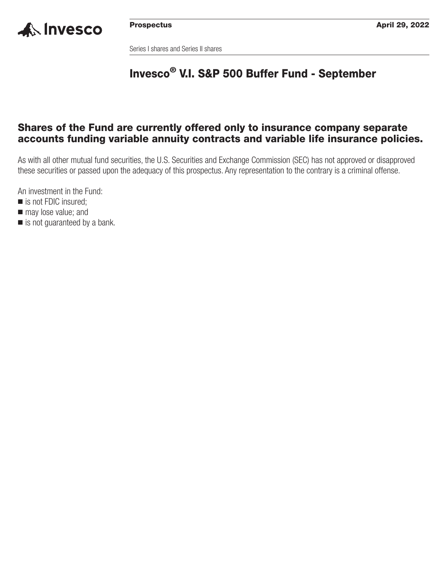

Series I shares and Series II shares

# **Invesco® V.I. S&P 500 Buffer Fund - September**

### **Shares of the Fund are currently offered only to insurance company separate accounts funding variable annuity contracts and variable life insurance policies.**

As with all other mutual fund securities, the U.S. Securities and Exchange Commission (SEC) has not approved or disapproved these securities or passed upon the adequacy of this prospectus. Any representation to the contrary is a criminal offense.

An investment in the Fund:

- is not FDIC insured;
- $\blacksquare$  may lose value; and
- is not guaranteed by a bank.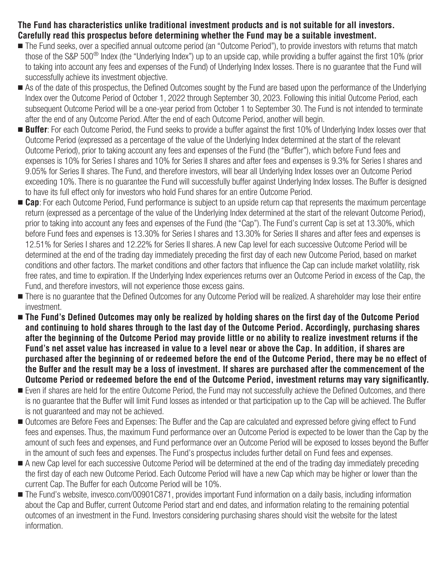### **The Fund has characteristics unlike traditional investment products and is not suitable for all investors. Carefully read this prospectus before determining whether the Fund may be a suitable investment.**

- The Fund seeks, over a specified annual outcome period (an "Outcome Period"), to provide investors with returns that match those of the S&P 500® Index (the "Underlying Index") up to an upside cap, while providing a buffer against the first 10% (prior to taking into account any fees and expenses of the Fund) of Underlying Index losses. There is no guarantee that the Fund will successfully achieve its investment objective.
- As of the date of this prospectus, the Defined Outcomes sought by the Fund are based upon the performance of the Underlying Index over the Outcome Period of October 1, 2022 through September 30, 2023. Following this initial Outcome Period, each subsequent Outcome Period will be a one-year period from October 1 to September 30. The Fund is not intended to terminate after the end of any Outcome Period. After the end of each Outcome Period, another will begin.
- **Buffer**: For each Outcome Period, the Fund seeks to provide a buffer against the first 10% of Underlying Index losses over that Outcome Period (expressed as a percentage of the value of the Underlying Index determined at the start of the relevant Outcome Period), prior to taking account any fees and expenses of the Fund (the "Buffer"), which before Fund fees and expenses is 10% for Series I shares and 10% for Series II shares and after fees and expenses is 9.3% for Series I shares and 9.05% for Series II shares. The Fund, and therefore investors, will bear all Underlying Index losses over an Outcome Period exceeding 10%. There is no guarantee the Fund will successfully buffer against Underlying Index losses. The Buffer is designed to have its full effect only for investors who hold Fund shares for an entire Outcome Period.
- Cap: For each Outcome Period, Fund performance is subject to an upside return cap that represents the maximum percentage return (expressed as a percentage of the value of the Underlying Index determined at the start of the relevant Outcome Period), prior to taking into account any fees and expenses of the Fund (the "Cap"). The Fund's current Cap is set at 13.30%, which before Fund fees and expenses is 13.30% for Series I shares and 13.30% for Series II shares and after fees and expenses is 12.51% for Series I shares and 12.22% for Series II shares. A new Cap level for each successive Outcome Period will be determined at the end of the trading day immediately preceding the first day of each new Outcome Period, based on market conditions and other factors. The market conditions and other factors that influence the Cap can include market volatility, risk free rates, and time to expiration. If the Underlying Index experiences returns over an Outcome Period in excess of the Cap, the Fund, and therefore investors, will not experience those excess gains.
- There is no guarantee that the Defined Outcomes for any Outcome Period will be realized. A shareholder may lose their entire investment.
- **The Fund's Defined Outcomes may only be realized by holding shares on the first day of the Outcome Period and continuing to hold shares through to the last day of the Outcome Period. Accordingly, purchasing shares after the beginning of the Outcome Period may provide little or no ability to realize investment returns if the Fund's net asset value has increased in value to a level near or above the Cap. In addition, if shares are purchased after the beginning of or redeemed before the end of the Outcome Period, there may be no effect of the Buffer and the result may be a loss of investment. If shares are purchased after the commencement of the Outcome Period or redeemed before the end of the Outcome Period, investment returns may vary significantly.**
- Even if shares are held for the entire Outcome Period, the Fund may not successfully achieve the Defined Outcomes, and there is no guarantee that the Buffer will limit Fund losses as intended or that participation up to the Cap will be achieved. The Buffer is not guaranteed and may not be achieved.
- Outcomes are Before Fees and Expenses: The Buffer and the Cap are calculated and expressed before giving effect to Fund fees and expenses. Thus, the maximum Fund performance over an Outcome Period is expected to be lower than the Cap by the amount of such fees and expenses, and Fund performance over an Outcome Period will be exposed to losses beyond the Buffer in the amount of such fees and expenses. The Fund's prospectus includes further detail on Fund fees and expenses.
- A new Cap level for each successive Outcome Period will be determined at the end of the trading day immediately preceding the first day of each new Outcome Period. Each Outcome Period will have a new Cap which may be higher or lower than the current Cap. The Buffer for each Outcome Period will be 10%.
- The Fund's website, [invesco.com/00901C871,](http://invesco.com/00901C871) provides important Fund information on a daily basis, including information about the Cap and Buffer, current Outcome Period start and end dates, and information relating to the remaining potential outcomes of an investment in the Fund. Investors considering purchasing shares should visit the website for the latest information.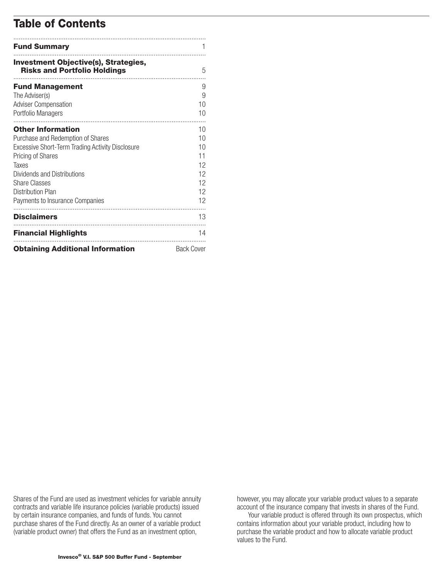## **Table of Contents**

| <b>Fund Summary</b>                                                                                                                                                                                                                                            |                                                    |
|----------------------------------------------------------------------------------------------------------------------------------------------------------------------------------------------------------------------------------------------------------------|----------------------------------------------------|
| <b>Investment Objective(s), Strategies,</b><br><b>Risks and Portfolio Holdings</b>                                                                                                                                                                             | 5                                                  |
| <b>Fund Management</b><br>The Adviser(s)<br><b>Adviser Compensation</b><br>Portfolio Managers                                                                                                                                                                  | 9<br>9<br>10<br>10                                 |
| <b>Other Information</b><br>Purchase and Redemption of Shares<br>Excessive Short-Term Trading Activity Disclosure<br>Pricing of Shares<br>Taxes<br>Dividends and Distributions<br><b>Share Classes</b><br>Distribution Plan<br>Payments to Insurance Companies | 10<br>10<br>10<br>11<br>12<br>12<br>12<br>12<br>12 |
| <b>Disclaimers</b>                                                                                                                                                                                                                                             | 13                                                 |
| <b>Financial Highlights</b>                                                                                                                                                                                                                                    | 14                                                 |
| <b>Obtaining Additional Information</b>                                                                                                                                                                                                                        | <b>Back Cover</b>                                  |

Shares of the Fund are used as investment vehicles for variable annuity contracts and variable life insurance policies (variable products) issued by certain insurance companies, and funds of funds. You cannot purchase shares of the Fund directly. As an owner of a variable product (variable product owner) that offers the Fund as an investment option,

however, you may allocate your variable product values to a separate account of the insurance company that invests in shares of the Fund.

Your variable product is offered through its own prospectus, which contains information about your variable product, including how to purchase the variable product and how to allocate variable product values to the Fund.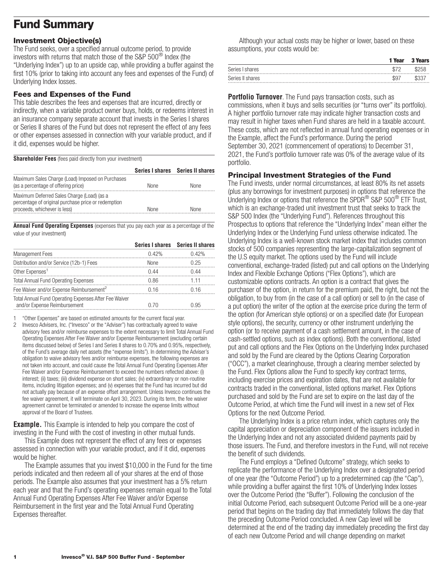## <span id="page-3-0"></span>**Fund Summary**

### **Investment Objective(s)**

The Fund seeks, over a specified annual outcome period, to provide investors with returns that match those of the S&P 500® Index (the "Underlying Index") up to an upside cap, while providing a buffer against the first 10% (prior to taking into account any fees and expenses of the Fund) of Underlying Index losses.

### **Fees and Expenses of the Fund**

This table describes the fees and expenses that are incurred, directly or indirectly, when a variable product owner buys, holds, or redeems interest in an insurance company separate account that invests in the Series I shares or Series II shares of the Fund but does not represent the effect of any fees or other expenses assessed in connection with your variable product, and if it did, expenses would be higher.

**Shareholder Fees** (fees paid directly from your investment)

|                                                                                                                                   |             | Series I shares Series II shares |
|-----------------------------------------------------------------------------------------------------------------------------------|-------------|----------------------------------|
| Maximum Sales Charge (Load) Imposed on Purchases<br>(as a percentage of offering price)                                           | <b>None</b> | <b>None</b>                      |
| Maximum Deferred Sales Charge (Load) (as a<br>percentage of original purchase price or redemption<br>proceeds, whichever is less) | <b>None</b> | None                             |

**Annual Fund Operating Expenses** (expenses that you pay each year as a percentage of the value of your investment)

|                                                                                       |             | Series I shares Series II shares |
|---------------------------------------------------------------------------------------|-------------|----------------------------------|
| <b>Management Fees</b>                                                                | 0.42%       | 0.42%                            |
| Distribution and/or Service (12b-1) Fees                                              | <b>None</b> | 0.25                             |
| Other Expenses <sup>1</sup>                                                           | 0.44        | በ 44                             |
| <b>Total Annual Fund Operating Expenses</b>                                           | 0.86        | 1 1 1                            |
| Fee Waiver and/or Expense Reimbursement <sup>2</sup>                                  | በ 16        | 0.16                             |
| Total Annual Fund Operating Expenses After Fee Waiver<br>and/or Expense Reimbursement | 0.70        | በ 95                             |

1 "Other Expenses" are based on estimated amounts for the current fiscal year.

2 Invesco Advisers, Inc. ("Invesco" or the "Adviser") has contractually agreed to waive advisory fees and/or reimburse expenses to the extent necessary to limit Total Annual Fund Operating Expenses After Fee Waiver and/or Expense Reimbursement (excluding certain items discussed below) of Series I and Series II shares to 0.70% and 0.95%, respectively, of the Fund's average daily net assets (the "expense limits"). In determining the Adviser's obligation to waive advisory fees and/or reimburse expenses, the following expenses are not taken into account, and could cause the Total Annual Fund Operating Expenses After Fee Waiver and/or Expense Reimbursement to exceed the numbers reflected above: (i) interest; (ii) taxes; (iii) dividend expense on short sales; (iv) extraordinary or non-routine items, including litigation expenses; and (v) expenses that the Fund has incurred but did not actually pay because of an expense offset arrangement. Unless Invesco continues the fee waiver agreement, it will terminate on April 30, 2023. During its term, the fee waiver agreement cannot be terminated or amended to increase the expense limits without approval of the Board of Trustees.

**Example.** This Example is intended to help you compare the cost of investing in the Fund with the cost of investing in other mutual funds.

This Example does not represent the effect of any fees or expenses assessed in connection with your variable product, and if it did, expenses would be higher.

The Example assumes that you invest \$10,000 in the Fund for the time periods indicated and then redeem all of your shares at the end of those periods. The Example also assumes that your investment has a 5% return each year and that the Fund's operating expenses remain equal to the Total Annual Fund Operating Expenses After Fee Waiver and/or Expense Reimbursement in the first year and the Total Annual Fund Operating Expenses thereafter.

Although your actual costs may be higher or lower, based on these assumptions, your costs would be:

|                  | 1 Year          | <b>3 Years</b> |
|------------------|-----------------|----------------|
| Series I shares  | 87 <sup>∩</sup> | \$258          |
| Series II shares | \$97            | \$337          |

**Portfolio Turnover**. The Fund pays transaction costs, such as commissions, when it buys and sells securities (or "turns over" its portfolio). A higher portfolio turnover rate may indicate higher transaction costs and may result in higher taxes when Fund shares are held in a taxable account. These costs, which are not reflected in annual fund operating expenses or in the Example, affect the Fund's performance. During the period September 30, 2021 (commencement of operations) to December 31, 2021, the Fund's portfolio turnover rate was 0% of the average value of its portfolio.

### **Principal Investment Strategies of the Fund**

The Fund invests, under normal circumstances, at least 80% its net assets (plus any borrowings for investment purposes) in options that reference the Underlying Index or options that reference the SPDR® S&P 500® ETF Trust, which is an exchange-traded unit investment trust that seeks to track the S&P 500 Index (the "Underlying Fund"). References throughout this Prospectus to options that reference the "Underlying Index" mean either the Underlying Index or the Underlying Fund unless otherwise indicated. The Underlying Index is a well-known stock market index that includes common stocks of 500 companies representing the large-capitalization segment of the U.S equity market. The options used by the Fund will include conventional, exchange-traded (listed) put and call options on the Underlying Index and Flexible Exchange Options ("Flex Options"), which are customizable options contracts. An option is a contract that gives the purchaser of the option, in return for the premium paid, the right, but not the obligation, to buy from (in the case of a call option) or sell to (in the case of a put option) the writer of the option at the exercise price during the term of the option (for American style options) or on a specified date (for European style options), the security, currency or other instrument underlying the option (or to receive payment of a cash settlement amount, in the case of cash-settled options, such as index options). Both the conventional, listed put and call options and the Flex Options on the Underlying Index purchased and sold by the Fund are cleared by the Options Clearing Corporation ("OCC"), a market clearinghouse, through a clearing member selected by the Fund. Flex Options allow the Fund to specify key contract terms, including exercise prices and expiration dates, that are not available for contracts traded in the conventional, listed options market. Flex Options purchased and sold by the Fund are set to expire on the last day of the Outcome Period, at which time the Fund will invest in a new set of Flex Options for the next Outcome Period.

The Underlying Index is a price return index, which captures only the capital appreciation or depreciation component of the issuers included in the Underlying Index and not any associated dividend payments paid by those issuers. The Fund, and therefore investors in the Fund, will not receive the benefit of such dividends.

The Fund employs a "Defined Outcome" strategy, which seeks to replicate the performance of the Underlying Index over a designated period of one year (the "Outcome Period") up to a predetermined cap (the "Cap"), while providing a buffer against the first 10% of Underlying Index losses over the Outcome Period (the "Buffer"). Following the conclusion of the initial Outcome Period, each subsequent Outcome Period will be a one-year period that begins on the trading day that immediately follows the day that the preceding Outcome Period concluded. A new Cap level will be determined at the end of the trading day immediately preceding the first day of each new Outcome Period and will change depending on market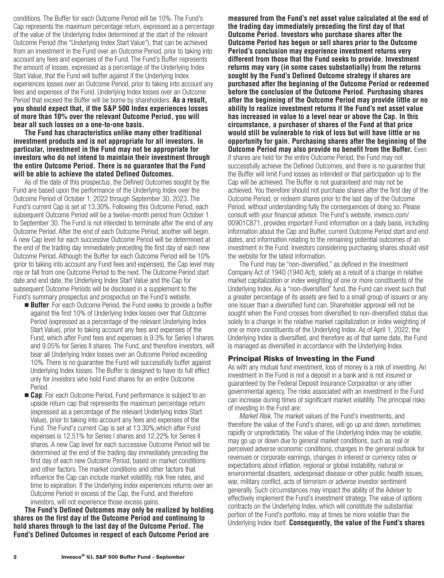conditions. The Buffer for each Outcome Period will be 10%. The Fund's Cap represents the maximum percentage return, expressed as a percentage of the value of the Underlying Index determined at the start of the relevant Outcome Period (the "Underlying Index Start Value"), that can be achieved from an investment in the Fund over an Outcome Period, prior to taking into account any fees and expenses of the Fund. The Fund's Buffer represents the amount of losses, expressed as a percentage of the Underlying Index Start Value, that the Fund will buffer against if the Underlying Index experiences losses over an Outcome Period, prior to taking into account any fees and expenses of the Fund. Underlying Index losses over an Outcome Period that exceed the Buffer will be borne by shareholders. **As a result, you should expect that, if the S&P 500 Index experiences losses of more than 10% over the relevant Outcome Period, you will bear all such losses on a one-to-one basis.**

**The Fund has characteristics unlike many other traditional investment products and is not appropriate for all investors. In particular, investment in the Fund may not be appropriate for investors who do not intend to maintain their investment through the entire Outcome Period. There is no guarantee that the Fund will be able to achieve the stated Defined Outcomes.**

As of the date of this prospectus, the Defined Outcomes sought by the Fund are based upon the performance of the Underlying Index over the Outcome Period of October 1, 2022 through September 30, 2023. The Fund's current Cap is set at 13.30%. Following this Outcome Period, each subsequent Outcome Period will be a twelve-month period from October 1 to September 30. The Fund is not intended to terminate after the end of any Outcome Period. After the end of each Outcome Period, another will begin. A new Cap level for each successive Outcome Period will be determined at the end of the trading day immediately preceding the first day of each new Outcome Period. Although the Buffer for each Outcome Period will be 10% (prior to taking into account any Fund fees and expenses), the Cap level may rise or fall from one Outcome Period to the next. The Outcome Period start date and end date, the Underlying Index Start Value and the Cap for subsequent Outcome Periods will be disclosed in a supplement to the Fund's summary prospectus and prospectus on the Fund's website.

- **Buffer**: For each Outcome Period, the Fund seeks to provide a buffer against the first 10% of Underlying Index losses over that Outcome Period (expressed as a percentage of the relevant Underlying Index Start Value), prior to taking account any fees and expenses of the Fund, which after Fund fees and expenses is 9.3% for Series I shares and 9.05% for Series II shares. The Fund, and therefore investors, will bear all Underlying Index losses over an Outcome Period exceeding 10%. There is no guarantee the Fund will successfully buffer against Underlying Index losses. The Buffer is designed to have its full effect only for investors who hold Fund shares for an entire Outcome Period.
- **Cap**: For each Outcome Period, Fund performance is subject to an upside return cap that represents the maximum percentage return (expressed as a percentage of the relevant Underlying Index Start Value), prior to taking into account any fees and expenses of the Fund. The Fund's current Cap is set at 13.30%,which after Fund expenses is 12.51% for Series I shares and 12.22% for Series II shares. A new Cap level for each successive Outcome Period will be determined at the end of the trading day immediately preceding the first day of each new Outcome Period, based on market conditions and other factors. The market conditions and other factors that influence the Cap can include market volatility, risk free rates, and time to expiration. If the Underlying Index experiences returns over an Outcome Period in excess of the Cap, the Fund, and therefore investors, will not experience those excess gains.

**The Fund's Defined Outcomes may only be realized by holding shares on the first day of the Outcome Period and continuing to hold shares through to the last day of the Outcome Period. The Fund's Defined Outcomes in respect of each Outcome Period are**

**measured from the Fund's net asset value calculated at the end of the trading day immediately preceding the first day of that Outcome Period. Investors who purchase shares after the Outcome Period has begun or sell shares prior to the Outcome Period's conclusion may experience investment returns very different from those that the Fund seeks to provide. Investment returns may vary (in some cases substantially) from the returns sought by the Fund's Defined Outcome strategy if shares are purchased after the beginning of the Outcome Period or redeemed before the conclusion of the Outcome Period. Purchasing shares after the beginning of the Outcome Period may provide little or no ability to realize investment returns if the Fund's net asset value has increased in value to a level near or above the Cap. In this circumstance, a purchaser of shares of the Fund at that price would still be vulnerable to risk of loss but will have little or no opportunity for gain. Purchasing shares after the beginning of the Outcome Period may also provide no benefit from the Buffer.** Even if shares are held for the entire Outcome Period, the Fund may not successfully achieve the Defined Outcomes, and there is no guarantee that the Buffer will limit Fund losses as intended or that participation up to the Cap will be achieved. The Buffer is not guaranteed and may not be achieved. You therefore should not purchase shares after the first day of the Outcome Period, or redeem shares prior to the last day of the Outcome Period, without understanding fully the consequences of doing so. Please consult with your financial advisor. The Fund's website, [invesco.com/](http://invesco.com/00901C871) [00901C871,](http://invesco.com/00901C871) provides important Fund information on a daily basis, including information about the Cap and Buffer, current Outcome Period start and end dates, and information relating to the remaining potential outcomes of an investment in the Fund. Investors considering purchasing shares should visit the website for the latest information.

The Fund may be "non-diversified," as defined in the Investment Company Act of 1940 (1940 Act), solely as a result of a change in relative market capitalization or index weighting of one or more constituents of the Underlying Index. As a "non-diversified" fund, the Fund can invest such that a greater percentage of its assets are tied to a small group of issuers or any one issuer than a diversified fund can. Shareholder approval will not be sought when the Fund crosses from diversified to non-diversified status due solely to a change in the relative market capitalization or index weighting of one or more constituents of the Underlying Index. As of April 1, 2022, the Underlying Index is diversified, and therefore as of that same date, the Fund is managed as diversified in accordance with the Underlying Index.

#### **Principal Risks of Investing in the Fund**

As with any mutual fund investment, loss of money is a risk of investing. An investment in the Fund is not a deposit in a bank and is not insured or guaranteed by the Federal Deposit Insurance Corporation or any other governmental agency. The risks associated with an investment in the Fund can increase during times of significant market volatility. The principal risks of investing in the Fund are:

*Market Risk.* The market values of the Fund's investments, and therefore the value of the Fund's shares, will go up and down, sometimes rapidly or unpredictably. The value of the Underlying Index may be volatile, may go up or down due to general market conditions, such as real or perceived adverse economic conditions, changes in the general outlook for revenues or corporate earnings, changes in interest or currency rates or expectations about inflation, regional or global instability, natural or environmental disasters, widespread disease or other public health issues, war, military conflict, acts of terrorism or adverse investor sentiment generally. Such circumstances may impact the ability of the Adviser to effectively implement the Fund's investment strategy. The value of options contracts on the Underlying Index, which will constitute the substantial portion of the Fund's portfolio, may at times be more volatile than the Underlying Index itself. **Consequently, the value of the Fund's shares**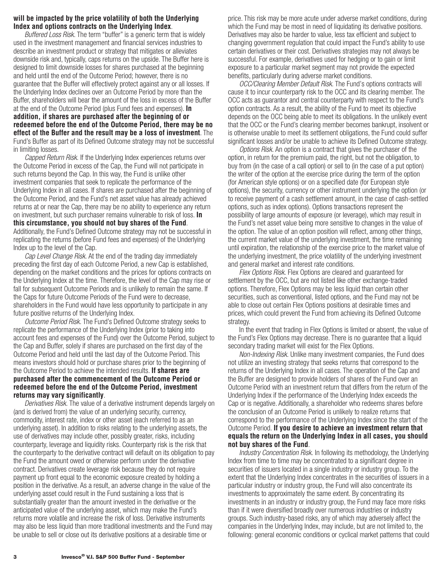#### **will be impacted by the price volatility of both the Underlying Index and options contracts on the Underlying Index**.

*Buffered Loss Risk.* The term "buffer" is a generic term that is widely used in the investment management and financial services industries to describe an investment product or strategy that mitigates or alleviates downside risk and, typically, caps returns on the upside. The Buffer here is designed to limit downside losses for shares purchased at the beginning and held until the end of the Outcome Period; however, there is no guarantee that the Buffer will effectively protect against any or all losses. If the Underlying Index declines over an Outcome Period by more than the Buffer, shareholders will bear the amount of the loss in excess of the Buffer at the end of the Outcome Period (plus Fund fees and expenses). **In addition, if shares are purchased after the beginning of or redeemed before the end of the Outcome Period, there may be no effect of the Buffer and the result may be a loss of investment**. The Fund's Buffer as part of its Defined Outcome strategy may not be successful in limiting losses.

*Capped Return Risk.* If the Underlying Index experiences returns over the Outcome Period in excess of the Cap, the Fund will not participate in such returns beyond the Cap. In this way, the Fund is unlike other investment companies that seek to replicate the performance of the Underlying Index in all cases. If shares are purchased after the beginning of the Outcome Period, and the Fund's net asset value has already achieved returns at or near the Cap, there may be no ability to experience any return on investment, but such purchaser remains vulnerable to risk of loss. **In this circumstance, you should not buy shares of the Fund**. Additionally, the Fund's Defined Outcome strategy may not be successful in replicating the returns (before Fund fees and expenses) of the Underlying Index up to the level of the Cap.

*Cap Level Change Risk.* At the end of the trading day immediately preceding the first day of each Outcome Period, a new Cap is established, depending on the market conditions and the prices for options contracts on the Underlying Index at the time. Therefore, the level of the Cap may rise or fall for subsequent Outcome Periods and is unlikely to remain the same. If the Caps for future Outcome Periods of the Fund were to decrease, shareholders in the Fund would have less opportunity to participate in any future positive returns of the Underlying Index.

*Outcome Period Risk.* The Fund's Defined Outcome strategy seeks to replicate the performance of the Underlying Index (prior to taking into account fees and expenses of the Fund) over the Outcome Period, subject to the Cap and Buffer, solely if shares are purchased on the first day of the Outcome Period and held until the last day of the Outcome Period. This means investors should hold or purchase shares prior to the beginning of the Outcome Period to achieve the intended results. **If shares are purchased after the commencement of the Outcome Period or redeemed before the end of the Outcome Period, investment returns may vary significantly**.

*Derivatives Risk.* The value of a derivative instrument depends largely on (and is derived from) the value of an underlying security, currency, commodity, interest rate, index or other asset (each referred to as an underlying asset). In addition to risks relating to the underlying assets, the use of derivatives may include other, possibly greater, risks, including counterparty, leverage and liquidity risks. Counterparty risk is the risk that the counterparty to the derivative contract will default on its obligation to pay the Fund the amount owed or otherwise perform under the derivative contract. Derivatives create leverage risk because they do not require payment up front equal to the economic exposure created by holding a position in the derivative. As a result, an adverse change in the value of the underlying asset could result in the Fund sustaining a loss that is substantially greater than the amount invested in the derivative or the anticipated value of the underlying asset, which may make the Fund's returns more volatile and increase the risk of loss. Derivative instruments may also be less liquid than more traditional investments and the Fund may be unable to sell or close out its derivative positions at a desirable time or

price. This risk may be more acute under adverse market conditions, during which the Fund may be most in need of liquidating its derivative positions. Derivatives may also be harder to value, less tax efficient and subject to changing government regulation that could impact the Fund's ability to use certain derivatives or their cost. Derivatives strategies may not always be successful. For example, derivatives used for hedging or to gain or limit exposure to a particular market segment may not provide the expected benefits, particularly during adverse market conditions.

*OCC/Clearing Member Default Risk.* The Fund's options contracts will cause it to incur counterparty risk to the OCC and its clearing member. The OCC acts as guarantor and central counterparty with respect to the Fund's option contracts. As a result, the ability of the Fund to meet its objective depends on the OCC being able to meet its obligations. In the unlikely event that the OCC or the Fund's clearing member becomes bankrupt, insolvent or is otherwise unable to meet its settlement obligations, the Fund could suffer significant losses and/or be unable to achieve its Defined Outcome strategy.

*Options Risk.* An option is a contract that gives the purchaser of the option, in return for the premium paid, the right, but not the obligation, to buy from (in the case of a call option) or sell to (in the case of a put option) the writer of the option at the exercise price during the term of the option (for American style options) or on a specified date (for European style options), the security, currency or other instrument underlying the option (or to receive payment of a cash settlement amount, in the case of cash-settled options, such as index options). Options transactions represent the possibility of large amounts of exposure (or leverage), which may result in the Fund's net asset value being more sensitive to changes in the value of the option. The value of an option position will reflect, among other things, the current market value of the underlying investment, the time remaining until expiration, the relationship of the exercise price to the market value of the underlying investment, the price volatility of the underlying investment and general market and interest rate conditions.

*Flex Options Risk.* Flex Options are cleared and guaranteed for settlement by the OCC, but are not listed like other exchange-traded options. Therefore, Flex Options may be less liquid than certain other securities, such as conventional, listed options, and the Fund may not be able to close out certain Flex Options positions at desirable times and prices, which could prevent the Fund from achieving its Defined Outcome strategy.

In the event that trading in Flex Options is limited or absent, the value of the Fund's Flex Options may decrease. There is no guarantee that a liquid secondary trading market will exist for the Flex Options.

*Non-Indexing Risk.* Unlike many investment companies, the Fund does not utilize an investing strategy that seeks returns that correspond to the returns of the Underlying Index in all cases. The operation of the Cap and the Buffer are designed to provide holders of shares of the Fund over an Outcome Period with an investment return that differs from the return of the Underlying Index if the performance of the Underlying Index exceeds the Cap or is negative. Additionally, a shareholder who redeems shares before the conclusion of an Outcome Period is unlikely to realize returns that correspond to the performance of the Underlying Index since the start of the Outcome Period. **If you desire to achieve an investment return that equals the return on the Underlying Index in all cases, you should not buy shares of the Fund**.

*Industry Concentration Risk.* In following its methodology, the Underlying Index from time to time may be concentrated to a significant degree in securities of issuers located in a single industry or industry group. To the extent that the Underlying Index concentrates in the securities of issuers in a particular industry or industry group, the Fund will also concentrate its investments to approximately the same extent. By concentrating its investments in an industry or industry group, the Fund may face more risks than if it were diversified broadly over numerous industries or industry groups. Such industry-based risks, any of which may adversely affect the companies in the Underlying Index, may include, but are not limited to, the following: general economic conditions or cyclical market patterns that could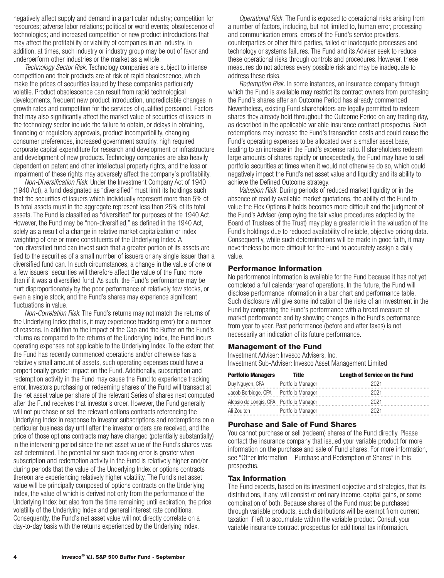negatively affect supply and demand in a particular industry; competition for resources; adverse labor relations; political or world events; obsolescence of technologies; and increased competition or new product introductions that may affect the profitability or viability of companies in an industry. In addition, at times, such industry or industry group may be out of favor and underperform other industries or the market as a whole.

*Technology Sector Risk.* Technology companies are subject to intense competition and their products are at risk of rapid obsolescence, which make the prices of securities issued by these companies particularly volatile. Product obsolescence can result from rapid technological developments, frequent new product introduction, unpredictable changes in growth rates and competition for the services of qualified personnel. Factors that may also significantly affect the market value of securities of issuers in the technology sector include the failure to obtain, or delays in obtaining, financing or regulatory approvals, product incompatibility, changing consumer preferences, increased government scrutiny, high required corporate capital expenditure for research and development or infrastructure and development of new products. Technology companies are also heavily dependent on patent and other intellectual property rights, and the loss or impairment of these rights may adversely affect the company's profitability.

*Non-Diversification Risk*. Under the Investment Company Act of 1940 (1940 Act), a fund designated as "diversified" must limit its holdings such that the securities of issuers which individually represent more than 5% of its total assets must in the aggregate represent less than 25% of its total assets. The Fund is classified as "diversified" for purposes of the 1940 Act. However, the Fund may be "non-diversified," as defined in the 1940 Act, solely as a result of a change in relative market capitalization or index weighting of one or more constituents of the Underlying Index. A non-diversified fund can invest such that a greater portion of its assets are tied to the securities of a small number of issuers or any single issuer than a diversified fund can. In such circumstances, a change in the value of one or a few issuers' securities will therefore affect the value of the Fund more than if it was a diversified fund. As such, the Fund's performance may be hurt disproportionately by the poor performance of relatively few stocks, or even a single stock, and the Fund's shares may experience significant fluctuations in value.

*Non-Correlation Risk*. The Fund's returns may not match the returns of the Underlying Index (that is, it may experience tracking error) for a number of reasons. In addition to the impact of the Cap and the Buffer on the Fund's returns as compared to the returns of the Underlying Index, the Fund incurs operating expenses not applicable to the Underlying Index. To the extent that the Fund has recently commenced operations and/or otherwise has a relatively small amount of assets, such operating expenses could have a proportionally greater impact on the Fund. Additionally, subscription and redemption activity in the Fund may cause the Fund to experience tracking error. Investors purchasing or redeeming shares of the Fund will transact at the net asset value per share of the relevant Series of shares next computed after the Fund receives that investor's order. However, the Fund generally will not purchase or sell the relevant options contracts referencing the Underlying Index in response to investor subscriptions and redemptions on a particular business day until after the investor orders are received, and the price of those options contracts may have changed (potentially substantially) in the intervening period since the net asset value of the Fund's shares was last determined. The potential for such tracking error is greater when subscription and redemption activity in the Fund is relatively higher and/or during periods that the value of the Underlying Index or options contracts thereon are experiencing relatively higher volatility. The Fund's net asset value will be principally composed of options contracts on the Underlying Index, the value of which is derived not only from the performance of the Underlying Index but also from the time remaining until expiration, the price volatility of the Underlying Index and general interest rate conditions. Consequently, the Fund's net asset value will not directly correlate on a day-to-day basis with the returns experienced by the Underlying Index.

*Operational Risk.* The Fund is exposed to operational risks arising from a number of factors, including, but not limited to, human error, processing and communication errors, errors of the Fund's service providers, counterparties or other third-parties, failed or inadequate processes and technology or systems failures. The Fund and its Adviser seek to reduce these operational risks through controls and procedures. However, these measures do not address every possible risk and may be inadequate to address these risks.

*Redemption Risk.* In some instances, an insurance company through which the Fund is available may restrict its contract owners from purchasing the Fund's shares after an Outcome Period has already commenced. Nevertheless, existing Fund shareholders are legally permitted to redeem shares they already hold throughout the Outcome Period on any trading day, as described in the applicable variable insurance contract prospectus. Such redemptions may increase the Fund's transaction costs and could cause the Fund's operating expenses to be allocated over a smaller asset base, leading to an increase in the Fund's expense ratio. If shareholders redeem large amounts of shares rapidly or unexpectedly, the Fund may have to sell portfolio securities at times when it would not otherwise do so, which could negatively impact the Fund's net asset value and liquidity and its ability to achieve the Defined Outcome strategy.

*Valuation Risk.* During periods of reduced market liquidity or in the absence of readily available market quotations, the ability of the Fund to value the Flex Options it holds becomes more difficult and the judgment of the Fund's Adviser (employing the fair value procedures adopted by the Board of Trustees of the Trust) may play a greater role in the valuation of the Fund's holdings due to reduced availability of reliable, objective pricing data. Consequently, while such determinations will be made in good faith, it may nevertheless be more difficult for the Fund to accurately assign a daily value.

#### **Performance Information**

No performance information is available for the Fund because it has not yet completed a full calendar year of operations. In the future, the Fund will disclose performance information in a bar chart and performance table. Such disclosure will give some indication of the risks of an investment in the Fund by comparing the Fund's performance with a broad measure of market performance and by showing changes in the Fund's performance from year to year. Past performance (before and after taxes) is not necessarily an indication of its future performance.

#### **Management of the Fund**

Investment Adviser: Invesco Advisers, Inc. Investment Sub-Adviser: Invesco Asset Management Limited

| <b>Portfolio Managers</b>                | Title             | <b>Length of Service on the Fund</b> |
|------------------------------------------|-------------------|--------------------------------------|
| Duy Nguyen, CFA Portfolio Manager        |                   | 2021                                 |
| Jacob Borbidge, CFA Portfolio Manager    |                   | 2021                                 |
| Alessio de Longis, CFA Portfolio Manager |                   | 2021                                 |
| Ali Zouiten                              | Portfolio Manager | 2021                                 |

#### **Purchase and Sale of Fund Shares**

You cannot purchase or sell (redeem) shares of the Fund directly. Please contact the insurance company that issued your variable product for more information on the purchase and sale of Fund shares. For more information, see "Other Information—Purchase and Redemption of Shares" in this prospectus.

#### **Tax Information**

The Fund expects, based on its investment objective and strategies, that its distributions, if any, will consist of ordinary income, capital gains, or some combination of both. Because shares of the Fund must be purchased through variable products, such distributions will be exempt from current taxation if left to accumulate within the variable product. Consult your variable insurance contract prospectus for additional tax information.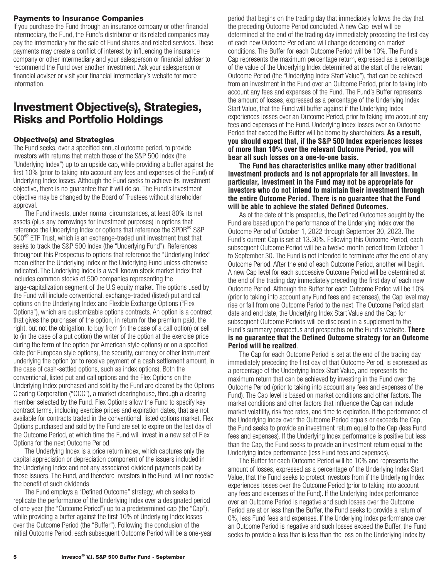#### <span id="page-7-0"></span>**Payments to Insurance Companies**

If you purchase the Fund through an insurance company or other financial intermediary, the Fund, the Fund's distributor or its related companies may pay the intermediary for the sale of Fund shares and related services. These payments may create a conflict of interest by influencing the insurance company or other intermediary and your salesperson or financial adviser to recommend the Fund over another investment. Ask your salesperson or financial adviser or visit your financial intermediary's website for more information.

## **Investment Objective(s), Strategies, Risks and Portfolio Holdings**

#### **Objective(s) and Strategies**

The Fund seeks, over a specified annual outcome period, to provide investors with returns that match those of the S&P 500 Index (the "Underlying Index") up to an upside cap, while providing a buffer against the first 10% (prior to taking into account any fees and expenses of the Fund) of Underlying Index losses. Although the Fund seeks to achieve its investment objective, there is no guarantee that it will do so. The Fund's investment objective may be changed by the Board of Trustees without shareholder approval.

The Fund invests, under normal circumstances, at least 80% its net assets (plus any borrowings for investment purposes) in options that reference the Underlying Index or options that reference the SPDR<sup>®</sup> S&P 500® ETF Trust, which is an exchange-traded unit investment trust that seeks to track the S&P 500 Index (the "Underlying Fund"). References throughout this Prospectus to options that reference the "Underlying Index" mean either the Underlying Index or the Underlying Fund unless otherwise indicated. The Underlying Index is a well-known stock market index that includes common stocks of 500 companies representing the large-capitalization segment of the U.S equity market. The options used by the Fund will include conventional, exchange-traded (listed) put and call options on the Underlying Index and Flexible Exchange Options ("Flex Options"), which are customizable options contracts. An option is a contract that gives the purchaser of the option, in return for the premium paid, the right, but not the obligation, to buy from (in the case of a call option) or sell to (in the case of a put option) the writer of the option at the exercise price during the term of the option (for American style options) or on a specified date (for European style options), the security, currency or other instrument underlying the option (or to receive payment of a cash settlement amount, in the case of cash-settled options, such as index options). Both the conventional, listed put and call options and the Flex Options on the Underlying Index purchased and sold by the Fund are cleared by the Options Clearing Corporation ("OCC"), a market clearinghouse, through a clearing member selected by the Fund. Flex Options allow the Fund to specify key contract terms, including exercise prices and expiration dates, that are not available for contracts traded in the conventional, listed options market. Flex Options purchased and sold by the Fund are set to expire on the last day of the Outcome Period, at which time the Fund will invest in a new set of Flex Options for the next Outcome Period.

The Underlying Index is a price return index, which captures only the capital appreciation or depreciation component of the issuers included in the Underlying Index and not any associated dividend payments paid by those issuers. The Fund, and therefore investors in the Fund, will not receive the benefit of such dividends

The Fund employs a "Defined Outcome" strategy, which seeks to replicate the performance of the Underlying Index over a designated period of one year (the "Outcome Period") up to a predetermined cap (the "Cap"), while providing a buffer against the first 10% of Underlying Index losses over the Outcome Period (the "Buffer"). Following the conclusion of the initial Outcome Period, each subsequent Outcome Period will be a one-year period that begins on the trading day that immediately follows the day that the preceding Outcome Period concluded. A new Cap level will be determined at the end of the trading day immediately preceding the first day of each new Outcome Period and will change depending on market conditions. The Buffer for each Outcome Period will be 10%. The Fund's Cap represents the maximum percentage return, expressed as a percentage of the value of the Underlying Index determined at the start of the relevant Outcome Period (the "Underlying Index Start Value"), that can be achieved from an investment in the Fund over an Outcome Period, prior to taking into account any fees and expenses of the Fund. The Fund's Buffer represents the amount of losses, expressed as a percentage of the Underlying Index Start Value, that the Fund will buffer against if the Underlying Index experiences losses over an Outcome Period, prior to taking into account any fees and expenses of the Fund. Underlying Index losses over an Outcome Period that exceed the Buffer will be borne by shareholders. **As a result, you should expect that, if the S&P 500 Index experiences losses of more than 10% over the relevant Outcome Period, you will bear all such losses on a one-to-one basis.**

**The Fund has characteristics unlike many other traditional investment products and is not appropriate for all investors. In particular, investment in the Fund may not be appropriate for investors who do not intend to maintain their investment through the entire Outcome Period. There is no guarantee that the Fund will be able to achieve the stated Defined Outcomes.**

As of the date of this prospectus, the Defined Outcomes sought by the Fund are based upon the performance of the Underlying Index over the Outcome Period of October 1, 2022 through September 30, 2023. The Fund's current Cap is set at 13.30%. Following this Outcome Period, each subsequent Outcome Period will be a twelve-month period from October 1 to September 30. The Fund is not intended to terminate after the end of any Outcome Period. After the end of each Outcome Period, another will begin. A new Cap level for each successive Outcome Period will be determined at the end of the trading day immediately preceding the first day of each new Outcome Period. Although the Buffer for each Outcome Period will be 10% (prior to taking into account any Fund fees and expenses), the Cap level may rise or fall from one Outcome Period to the next. The Outcome Period start date and end date, the Underlying Index Start Value and the Cap for subsequent Outcome Periods will be disclosed in a supplement to the Fund's summary prospectus and prospectus on the Fund's website. **There is no guarantee that the Defined Outcome strategy for an Outcome Period will be realized**.

The Cap for each Outcome Period is set at the end of the trading day immediately preceding the first day of that Outcome Period, is expressed as a percentage of the Underlying Index Start Value, and represents the maximum return that can be achieved by investing in the Fund over the Outcome Period (prior to taking into account any fees and expenses of the Fund). The Cap level is based on market conditions and other factors. The market conditions and other factors that influence the Cap can include market volatility, risk free rates, and time to expiration. If the performance of the Underlying Index over the Outcome Period equals or exceeds the Cap, the Fund seeks to provide an investment return equal to the Cap (less Fund fees and expenses). If the Underlying Index performance is positive but less than the Cap, the Fund seeks to provide an investment return equal to the Underlying Index performance (less Fund fees and expenses).

The Buffer for each Outcome Period will be 10% and represents the amount of losses, expressed as a percentage of the Underlying Index Start Value, that the Fund seeks to protect investors from if the Underlying Index experiences losses over the Outcome Period (prior to taking into account any fees and expenses of the Fund). If the Underlying Index performance over an Outcome Period is negative and such losses over the Outcome Period are at or less than the Buffer, the Fund seeks to provide a return of 0%, less Fund fees and expenses. If the Underlying Index performance over an Outcome Period is negative and such losses exceed the Buffer, the Fund seeks to provide a loss that is less than the loss on the Underlying Index by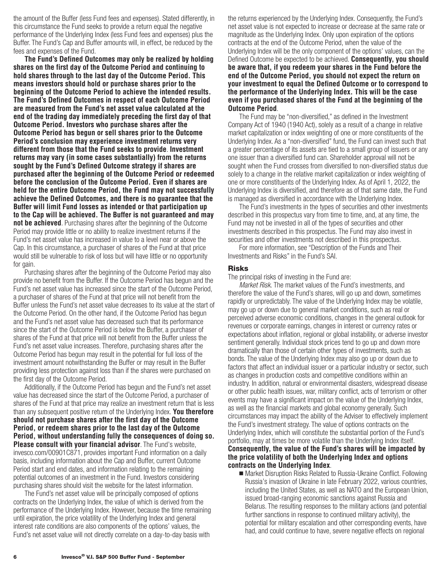the amount of the Buffer (less Fund fees and expenses). Stated differently, in this circumstance the Fund seeks to provide a return equal the negative performance of the Underlying Index (less Fund fees and expenses) plus the Buffer. The Fund's Cap and Buffer amounts will, in effect, be reduced by the fees and expenses of the Fund.

**The Fund's Defined Outcomes may only be realized by holding shares on the first day of the Outcome Period and continuing to hold shares through to the last day of the Outcome Period. This means investors should hold or purchase shares prior to the beginning of the Outcome Period to achieve the intended results. The Fund's Defined Outcomes in respect of each Outcome Period are measured from the Fund's net asset value calculated at the end of the trading day immediately preceding the first day of that Outcome Period. Investors who purchase shares after the Outcome Period has begun or sell shares prior to the Outcome Period's conclusion may experience investment returns very different from those that the Fund seeks to provide**. **Investment returns may vary (in some cases substantially) from the returns sought by the Fund's Defined Outcome strategy if shares are purchased after the beginning of the Outcome Period or redeemed before the conclusion of the Outcome Period. Even if shares are held for the entire Outcome Period, the Fund may not successfully achieve the Defined Outcomes, and there is no guarantee that the Buffer will limit Fund losses as intended or that participation up to the Cap will be achieved. The Buffer is not guaranteed and may not be achieved**. Purchasing shares after the beginning of the Outcome Period may provide little or no ability to realize investment returns if the Fund's net asset value has increased in value to a level near or above the Cap. In this circumstance, a purchaser of shares of the Fund at that price would still be vulnerable to risk of loss but will have little or no opportunity for gain.

Purchasing shares after the beginning of the Outcome Period may also provide no benefit from the Buffer. If the Outcome Period has begun and the Fund's net asset value has increased since the start of the Outcome Period, a purchaser of shares of the Fund at that price will not benefit from the Buffer unless the Fund's net asset value decreases to its value at the start of the Outcome Period. On the other hand, if the Outcome Period has begun and the Fund's net asset value has decreased such that its performance since the start of the Outcome Period is below the Buffer, a purchaser of shares of the Fund at that price will not benefit from the Buffer unless the Fund's net asset value increases. Therefore, purchasing shares after the Outcome Period has begun may result in the potential for full loss of the investment amount notwithstanding the Buffer or may result in the Buffer providing less protection against loss than if the shares were purchased on the first day of the Outcome Period.

Additionally, if the Outcome Period has begun and the Fund's net asset value has decreased since the start of the Outcome Period, a purchaser of shares of the Fund at that price may realize an investment return that is less than any subsequent positive return of the Underlying Index. **You therefore should not purchase shares after the first day of the Outcome Period, or redeem shares prior to the last day of the Outcome Period, without understanding fully the consequences of doing so. Please consult with your financial advisor**. The Fund's website, [invesco.com/00901C871,](http://invesco.com/00901C871) provides important Fund information on a daily basis, including information about the Cap and Buffer, current Outcome Period start and end dates, and information relating to the remaining potential outcomes of an investment in the Fund. Investors considering purchasing shares should visit the website for the latest information.

The Fund's net asset value will be principally composed of options contracts on the Underlying Index, the value of which is derived from the performance of the Underlying Index. However, because the time remaining until expiration, the price volatility of the Underlying Index and general interest rate conditions are also components of the options' values, the Fund's net asset value will not directly correlate on a day-to-day basis with

the returns experienced by the Underlying Index. Consequently, the Fund's net asset value is not expected to increase or decrease at the same rate or magnitude as the Underlying Index. Only upon expiration of the options contracts at the end of the Outcome Period, when the value of the Underlying Index will be the only component of the options' values, can the Defined Outcome be expected to be achieved. **Consequently, you should be aware that, if you redeem your shares in the Fund before the end of the Outcome Period, you should not expect the return on your investment to equal the Defined Outcome or to correspond to the performance of the Underlying Index. This will be the case even if you purchased shares of the Fund at the beginning of the Outcome Period**.

The Fund may be "non-diversified," as defined in the Investment Company Act of 1940 (1940 Act), solely as a result of a change in relative market capitalization or index weighting of one or more constituents of the Underlying Index. As a "non-diversified" fund, the Fund can invest such that a greater percentage of its assets are tied to a small group of issuers or any one issuer than a diversified fund can. Shareholder approval will not be sought when the Fund crosses from diversified to non-diversified status due solely to a change in the relative market capitalization or index weighting of one or more constituents of the Underlying Index. As of April 1, 2022, the Underlying Index is diversified, and therefore as of that same date, the Fund is managed as diversified in accordance with the Underlying Index.

The Fund's investments in the types of securities and other investments described in this prospectus vary from time to time, and, at any time, the Fund may not be invested in all of the types of securities and other investments described in this prospectus. The Fund may also invest in securities and other investments not described in this prospectus.

For more information, see "Description of the Funds and Their Investments and Risks" in the Fund's SAI.

#### **Risks**

The principal risks of investing in the Fund are:

*Market Risk.* The market values of the Fund's investments, and therefore the value of the Fund's shares, will go up and down, sometimes rapidly or unpredictably. The value of the Underlying Index may be volatile, may go up or down due to general market conditions, such as real or perceived adverse economic conditions, changes in the general outlook for revenues or corporate earnings, changes in interest or currency rates or expectations about inflation, regional or global instability, or adverse investor sentiment generally. Individual stock prices tend to go up and down more dramatically than those of certain other types of investments, such as bonds. The value of the Underlying Index may also go up or down due to factors that affect an individual issuer or a particular industry or sector, such as changes in production costs and competitive conditions within an industry. In addition, natural or environmental disasters, widespread disease or other public health issues, war, military conflict, acts of terrorism or other events may have a significant impact on the value of the Underlying Index, as well as the financial markets and global economy generally. Such circumstances may impact the ability of the Adviser to effectively implement the Fund's investment strategy. The value of options contracts on the Underlying Index, which will constitute the substantial portion of the Fund's portfolio, may at times be more volatile than the Underlying Index itself. **Consequently, the value of the Fund's shares will be impacted by the price volatility of both the Underlying Index and options contracts on the Underlying Index**.

■ Market Disruption Risks Related to Russia-Ukraine Conflict. Following Russia's invasion of Ukraine in late February 2022, various countries, including the United States, as well as NATO and the European Union, issued broad-ranging economic sanctions against Russia and Belarus. The resulting responses to the military actions (and potential further sanctions in response to continued military activity), the potential for military escalation and other corresponding events, have had, and could continue to have, severe negative effects on regional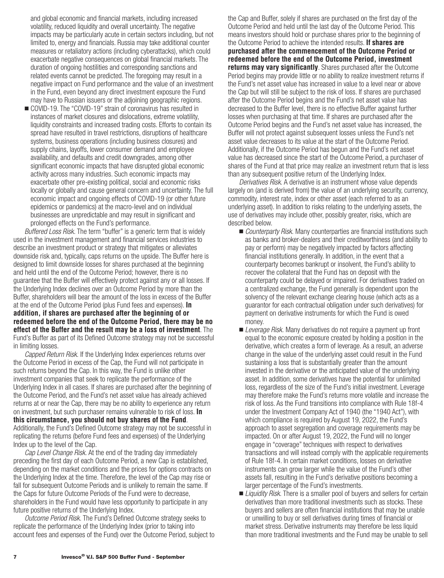and global economic and financial markets, including increased volatility, reduced liquidity and overall uncertainty. The negative impacts may be particularly acute in certain sectors including, but not limited to, energy and financials. Russia may take additional counter measures or retaliatory actions (including cyberattacks), which could exacerbate negative consequences on global financial markets. The duration of ongoing hostilities and corresponding sanctions and related events cannot be predicted. The foregoing may result in a negative impact on Fund performance and the value of an investment in the Fund, even beyond any direct investment exposure the Fund may have to Russian issuers or the adjoining geographic regions.

■ COVID-19. The "COVID-19" strain of coronavirus has resulted in instances of market closures and dislocations, extreme volatility, liquidity constraints and increased trading costs. Efforts to contain its spread have resulted in travel restrictions, disruptions of healthcare systems, business operations (including business closures) and supply chains, layoffs, lower consumer demand and employee availability, and defaults and credit downgrades, among other significant economic impacts that have disrupted global economic activity across many industries. Such economic impacts may exacerbate other pre-existing political, social and economic risks locally or globally and cause general concern and uncertainty. The full economic impact and ongoing effects of COVID-19 (or other future epidemics or pandemics) at the macro-level and on individual businesses are unpredictable and may result in significant and prolonged effects on the Fund's performance.

*Buffered Loss Risk.* The term "buffer" is a generic term that is widely used in the investment management and financial services industries to describe an investment product or strategy that mitigates or alleviates downside risk and, typically, caps returns on the upside. The Buffer here is designed to limit downside losses for shares purchased at the beginning and held until the end of the Outcome Period; however, there is no guarantee that the Buffer will effectively protect against any or all losses. If the Underlying Index declines over an Outcome Period by more than the Buffer, shareholders will bear the amount of the loss in excess of the Buffer at the end of the Outcome Period (plus Fund fees and expenses). **In addition, if shares are purchased after the beginning of or redeemed before the end of the Outcome Period, there may be no effect of the Buffer and the result may be a loss of investment**. The Fund's Buffer as part of its Defined Outcome strategy may not be successful in limiting losses.

*Capped Return Risk.* If the Underlying Index experiences returns over the Outcome Period in excess of the Cap, the Fund will not participate in such returns beyond the Cap. In this way, the Fund is unlike other investment companies that seek to replicate the performance of the Underlying Index in all cases. If shares are purchased after the beginning of the Outcome Period, and the Fund's net asset value has already achieved returns at or near the Cap, there may be no ability to experience any return on investment, but such purchaser remains vulnerable to risk of loss. **In this circumstance, you should not buy shares of the Fund**. Additionally, the Fund's Defined Outcome strategy may not be successful in replicating the returns (before Fund fees and expenses) of the Underlying Index up to the level of the Cap.

*Cap Level Change Risk.* At the end of the trading day immediately preceding the first day of each Outcome Period, a new Cap is established, depending on the market conditions and the prices for options contracts on the Underlying Index at the time. Therefore, the level of the Cap may rise or fall for subsequent Outcome Periods and is unlikely to remain the same. If the Caps for future Outcome Periods of the Fund were to decrease, shareholders in the Fund would have less opportunity to participate in any future positive returns of the Underlying Index.

*Outcome Period Risk.* The Fund's Defined Outcome strategy seeks to replicate the performance of the Underlying Index (prior to taking into account fees and expenses of the Fund) over the Outcome Period, subject to the Cap and Buffer, solely if shares are purchased on the first day of the Outcome Period and held until the last day of the Outcome Period. This means investors should hold or purchase shares prior to the beginning of the Outcome Period to achieve the intended results. **If shares are purchased after the commencement of the Outcome Period or redeemed before the end of the Outcome Period, investment returns may vary significantly**. Shares purchased after the Outcome Period begins may provide little or no ability to realize investment returns if the Fund's net asset value has increased in value to a level near or above the Cap but will still be subject to the risk of loss. If shares are purchased after the Outcome Period begins and the Fund's net asset value has decreased to the Buffer level, there is no effective Buffer against further losses when purchasing at that time. If shares are purchased after the Outcome Period begins and the Fund's net asset value has increased, the Buffer will not protect against subsequent losses unless the Fund's net asset value decreases to its value at the start of the Outcome Period. Additionally, if the Outcome Period has begun and the Fund's net asset value has decreased since the start of the Outcome Period, a purchaser of shares of the Fund at that price may realize an investment return that is less than any subsequent positive return of the Underlying Index.

*Derivatives Risk.* A derivative is an instrument whose value depends largely on (and is derived from) the value of an underlying security, currency, commodity, interest rate, index or other asset (each referred to as an underlying asset). In addition to risks relating to the underlying assets, the use of derivatives may include other, possibly greater, risks, which are described below.

- *Counterparty Risk.* Many counterparties are financial institutions such as banks and broker-dealers and their creditworthiness (and ability to pay or perform) may be negatively impacted by factors affecting financial institutions generally. In addition, in the event that a counterparty becomes bankrupt or insolvent, the Fund's ability to recover the collateral that the Fund has on deposit with the counterparty could be delayed or impaired. For derivatives traded on a centralized exchange, the Fund generally is dependent upon the solvency of the relevant exchange clearing house (which acts as a guarantor for each contractual obligation under such derivatives) for payment on derivative instruments for which the Fund is owed money.
- *Leverage Risk.* Many derivatives do not require a payment up front equal to the economic exposure created by holding a position in the derivative, which creates a form of leverage. As a result, an adverse change in the value of the underlying asset could result in the Fund sustaining a loss that is substantially greater than the amount invested in the derivative or the anticipated value of the underlying asset. In addition, some derivatives have the potential for unlimited loss, regardless of the size of the Fund's initial investment. Leverage may therefore make the Fund's returns more volatile and increase the risk of loss. As the Fund transitions into compliance with Rule 18f-4 under the Investment Company Act of 1940 (the "1940 Act"), with which compliance is required by August 19, 2022, the Fund's approach to asset segregation and coverage requirements may be impacted. On or after August 19, 2022, the Fund will no longer engage in "coverage" techniques with respect to derivatives transactions and will instead comply with the applicable requirements of Rule 18f-4. In certain market conditions, losses on derivative instruments can grow larger while the value of the Fund's other assets fall, resulting in the Fund's derivative positions becoming a larger percentage of the Fund's investments.
- *Liquidity Risk.* There is a smaller pool of buyers and sellers for certain derivatives than more traditional investments such as stocks. These buyers and sellers are often financial institutions that may be unable or unwilling to buy or sell derivatives during times of financial or market stress. Derivative instruments may therefore be less liquid than more traditional investments and the Fund may be unable to sell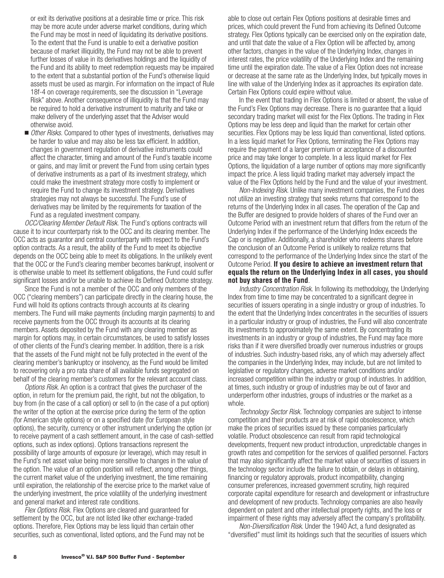or exit its derivative positions at a desirable time or price. This risk may be more acute under adverse market conditions, during which the Fund may be most in need of liquidating its derivative positions. To the extent that the Fund is unable to exit a derivative position because of market illiquidity, the Fund may not be able to prevent further losses of value in its derivatives holdings and the liquidity of the Fund and its ability to meet redemption requests may be impaired to the extent that a substantial portion of the Fund's otherwise liquid assets must be used as margin. For information on the impact of Rule 18f-4 on coverage requirements, see the discussion in "Leverage Risk" above. Another consequence of illiquidity is that the Fund may be required to hold a derivative instrument to maturity and take or make delivery of the underlying asset that the Adviser would otherwise avoid.

■ Other Risks. Compared to other types of investments, derivatives may be harder to value and may also be less tax efficient. In addition, changes in government regulation of derivative instruments could affect the character, timing and amount of the Fund's taxable income or gains, and may limit or prevent the Fund from using certain types of derivative instruments as a part of its investment strategy, which could make the investment strategy more costly to implement or require the Fund to change its investment strategy. Derivatives strategies may not always be successful. The Fund's use of derivatives may be limited by the requirements for taxation of the Fund as a regulated investment company.

*OCC/Clearing Member Default Risk.* The Fund's options contracts will cause it to incur counterparty risk to the OCC and its clearing member. The OCC acts as guarantor and central counterparty with respect to the Fund's option contracts. As a result, the ability of the Fund to meet its objective depends on the OCC being able to meet its obligations. In the unlikely event that the OCC or the Fund's clearing member becomes bankrupt, insolvent or is otherwise unable to meet its settlement obligations, the Fund could suffer significant losses and/or be unable to achieve its Defined Outcome strategy.

Since the Fund is not a member of the OCC and only members of the OCC ("clearing members") can participate directly in the clearing house, the Fund will hold its options contracts through accounts at its clearing members. The Fund will make payments (including margin payments) to and receive payments from the OCC through its accounts at its clearing members. Assets deposited by the Fund with any clearing member as margin for options may, in certain circumstances, be used to satisfy losses of other clients of the Fund's clearing member. In addition, there is a risk that the assets of the Fund might not be fully protected in the event of the clearing member's bankruptcy or insolvency, as the Fund would be limited to recovering only a pro rata share of all available funds segregated on behalf of the clearing member's customers for the relevant account class.

*Options Risk.* An option is a contract that gives the purchaser of the option, in return for the premium paid, the right, but not the obligation, to buy from (in the case of a call option) or sell to (in the case of a put option) the writer of the option at the exercise price during the term of the option (for American style options) or on a specified date (for European style options), the security, currency or other instrument underlying the option (or to receive payment of a cash settlement amount, in the case of cash-settled options, such as index options). Options transactions represent the possibility of large amounts of exposure (or leverage), which may result in the Fund's net asset value being more sensitive to changes in the value of the option. The value of an option position will reflect, among other things, the current market value of the underlying investment, the time remaining until expiration, the relationship of the exercise price to the market value of the underlying investment, the price volatility of the underlying investment and general market and interest rate conditions.

*Flex Options Risk.* Flex Options are cleared and guaranteed for settlement by the OCC, but are not listed like other exchange-traded options. Therefore, Flex Options may be less liquid than certain other securities, such as conventional, listed options, and the Fund may not be able to close out certain Flex Options positions at desirable times and prices, which could prevent the Fund from achieving its Defined Outcome strategy. Flex Options typically can be exercised only on the expiration date, and until that date the value of a Flex Option will be affected by, among other factors, changes in the value of the Underlying Index, changes in interest rates, the price volatility of the Underlying Index and the remaining time until the expiration date. The value of a Flex Option does not increase or decrease at the same rate as the Underlying Index, but typically moves in line with value of the Underlying Index as it approaches its expiration date. Certain Flex Options could expire without value.

In the event that trading in Flex Options is limited or absent, the value of the Fund's Flex Options may decrease. There is no guarantee that a liquid secondary trading market will exist for the Flex Options. The trading in Flex Options may be less deep and liquid than the market for certain other securities. Flex Options may be less liquid than conventional, listed options. In a less liquid market for Flex Options, terminating the Flex Options may require the payment of a larger premium or acceptance of a discounted price and may take longer to complete. In a less liquid market for Flex Options, the liquidation of a large number of options may more significantly impact the price. A less liquid trading market may adversely impact the value of the Flex Options held by the Fund and the value of your investment.

*Non-Indexing Risk.* Unlike many investment companies, the Fund does not utilize an investing strategy that seeks returns that correspond to the returns of the Underlying Index in all cases. The operation of the Cap and the Buffer are designed to provide holders of shares of the Fund over an Outcome Period with an investment return that differs from the return of the Underlying Index if the performance of the Underlying Index exceeds the Cap or is negative. Additionally, a shareholder who redeems shares before the conclusion of an Outcome Period is unlikely to realize returns that correspond to the performance of the Underlying Index since the start of the Outcome Period. **If you desire to achieve an investment return that equals the return on the Underlying Index in all cases, you should not buy shares of the Fund**.

*Industry Concentration Risk.* In following its methodology, the Underlying Index from time to time may be concentrated to a significant degree in securities of issuers operating in a single industry or group of industries. To the extent that the Underlying Index concentrates in the securities of issuers in a particular industry or group of industries, the Fund will also concentrate its investments to approximately the same extent. By concentrating its investments in an industry or group of industries, the Fund may face more risks than if it were diversified broadly over numerous industries or groups of industries. Such industry-based risks, any of which may adversely affect the companies in the Underlying Index, may include, but are not limited to legislative or regulatory changes, adverse market conditions and/or increased competition within the industry or group of industries. In addition, at times, such industry or group of industries may be out of favor and underperform other industries, groups of industries or the market as a whole.

*Technology Sector Risk.* Technology companies are subject to intense competition and their products are at risk of rapid obsolescence, which make the prices of securities issued by these companies particularly volatile. Product obsolescence can result from rapid technological developments, frequent new product introduction, unpredictable changes in growth rates and competition for the services of qualified personnel. Factors that may also significantly affect the market value of securities of issuers in the technology sector include the failure to obtain, or delays in obtaining, financing or regulatory approvals, product incompatibility, changing consumer preferences, increased government scrutiny, high required corporate capital expenditure for research and development or infrastructure and development of new products. Technology companies are also heavily dependent on patent and other intellectual property rights, and the loss or impairment of these rights may adversely affect the company's profitability.

*Non-Diversification Risk*. Under the 1940 Act, a fund designated as "diversified" must limit its holdings such that the securities of issuers which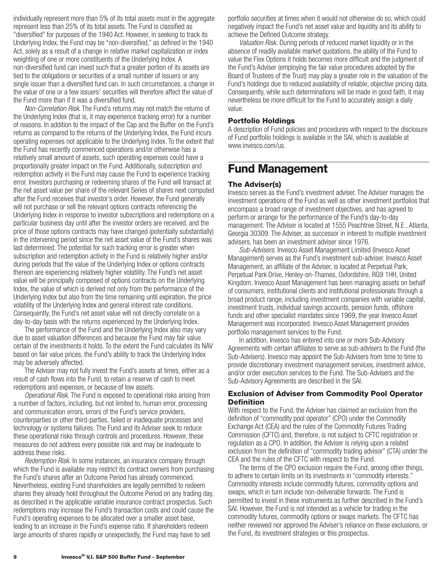<span id="page-11-0"></span>individually represent more than 5% of its total assets must in the aggregate represent less than 25% of its total assets. The Fund is classified as "diversified" for purposes of the 1940 Act. However, in seeking to track its Underlying Index, the Fund may be "non-diversified," as defined in the 1940 Act, solely as a result of a change in relative market capitalization or index weighting of one or more constituents of the Underlying Index. A non-diversified fund can invest such that a greater portion of its assets are tied to the obligations or securities of a small number of issuers or any single issuer than a diversified fund can. In such circumstances, a change in the value of one or a few issuers' securities will therefore affect the value of the Fund more than if it was a diversified fund.

*Non-Correlation Risk*. The Fund's returns may not match the returns of the Underlying Index (that is, it may experience tracking error) for a number of reasons. In addition to the impact of the Cap and the Buffer on the Fund's returns as compared to the returns of the Underlying Index, the Fund incurs operating expenses not applicable to the Underlying Index. To the extent that the Fund has recently commenced operations and/or otherwise has a relatively small amount of assets, such operating expenses could have a proportionally greater impact on the Fund. Additionally, subscription and redemption activity in the Fund may cause the Fund to experience tracking error. Investors purchasing or redeeming shares of the Fund will transact at the net asset value per share of the relevant Series of shares next computed after the Fund receives that investor's order. However, the Fund generally will not purchase or sell the relevant options contracts referencing the Underlying Index in response to investor subscriptions and redemptions on a particular business day until after the investor orders are received, and the price of those options contracts may have changed (potentially substantially) in the intervening period since the net asset value of the Fund's shares was last determined. The potential for such tracking error is greater when subscription and redemption activity in the Fund is relatively higher and/or during periods that the value of the Underlying Index or options contracts thereon are experiencing relatively higher volatility. The Fund's net asset value will be principally composed of options contracts on the Underlying Index, the value of which is derived not only from the performance of the Underlying Index but also from the time remaining until expiration, the price volatility of the Underlying Index and general interest rate conditions. Consequently, the Fund's net asset value will not directly correlate on a day-to-day basis with the returns experienced by the Underlying Index.

The performance of the Fund and the Underlying Index also may vary due to asset valuation differences and because the Fund may fair value certain of the investments it holds. To the extent the Fund calculates its NAV based on fair value prices, the Fund's ability to track the Underlying Index may be adversely affected.

The Adviser may not fully invest the Fund's assets at times, either as a result of cash flows into the Fund, to retain a reserve of cash to meet redemptions and expenses, or because of low assets.

*Operational Risk.* The Fund is exposed to operational risks arising from a number of factors, including, but not limited to, human error, processing and communication errors, errors of the Fund's service providers, counterparties or other third-parties, failed or inadequate processes and technology or systems failures. The Fund and its Adviser seek to reduce these operational risks through controls and procedures. However, these measures do not address every possible risk and may be inadequate to address these risks.

*Redemption Risk.* In some instances, an insurance company through which the Fund is available may restrict its contract owners from purchasing the Fund's shares after an Outcome Period has already commenced. Nevertheless, existing Fund shareholders are legally permitted to redeem shares they already hold throughout the Outcome Period on any trading day, as described in the applicable variable insurance contract prospectus. Such redemptions may increase the Fund's transaction costs and could cause the Fund's operating expenses to be allocated over a smaller asset base, leading to an increase in the Fund's expense ratio. If shareholders redeem large amounts of shares rapidly or unexpectedly, the Fund may have to sell

portfolio securities at times when it would not otherwise do so, which could negatively impact the Fund's net asset value and liquidity and its ability to achieve the Defined Outcome strategy.

*Valuation Risk.* During periods of reduced market liquidity or in the absence of readily available market quotations, the ability of the Fund to value the Flex Options it holds becomes more difficult and the judgment of the Fund's Adviser (employing the fair value procedures adopted by the Board of Trustees of the Trust) may play a greater role in the valuation of the Fund's holdings due to reduced availability of reliable, objective pricing data. Consequently, while such determinations will be made in good faith, it may nevertheless be more difficult for the Fund to accurately assign a daily value.

#### **Portfolio Holdings**

A description of Fund policies and procedures with respect to the disclosure of Fund portfolio holdings is available in the SAI, which is available at www.invesco.com/us.

### **Fund Management**

#### **The Adviser(s)**

Invesco serves as the Fund's investment adviser. The Adviser manages the investment operations of the Fund as well as other investment portfolios that encompass a broad range of investment objectives, and has agreed to perform or arrange for the performance of the Fund's day-to-day management. The Adviser is located at 1555 Peachtree Street, N.E., Atlanta, Georgia 30309. The Adviser, as successor in interest to multiple investment advisers, has been an investment adviser since 1976.

*Sub-Advisers.* Invesco Asset Management Limited (Invesco Asset Management) serves as the Fund's investment sub-adviser. Invesco Asset Management, an affiliate of the Adviser, is located at Perpetual Park, Perpetual Park Drive, Henley-on-Thames, Oxfordshire, RG9 1HH, United Kingdom. Invesco Asset Management has been managing assets on behalf of consumers, institutional clients and institutional professionals through a broad product range, including investment companies with variable capital, investment trusts, individual savings accounts, pension funds, offshore funds and other specialist mandates since 1969, the year Invesco Asset Management was incorporated. Invesco Asset Management provides portfolio management services to the Fund.

In addition, Invesco has entered into one or more Sub-Advisory Agreements with certain affiliates to serve as sub-advisers to the Fund (the Sub-Advisers). Invesco may appoint the Sub-Advisers from time to time to provide discretionary investment management services, investment advice, and/or order execution services to the Fund. The Sub-Advisers and the Sub-Advisory Agreements are described in the SAI.

#### **Exclusion of Adviser from Commodity Pool Operator Definition**

With respect to the Fund, the Adviser has claimed an exclusion from the definition of "commodity pool operator" (CPO) under the Commodity Exchange Act (CEA) and the rules of the Commodity Futures Trading Commission (CFTC) and, therefore, is not subject to CFTC registration or regulation as a CPO. In addition, the Adviser is relying upon a related exclusion from the definition of "commodity trading advisor" (CTA) under the CEA and the rules of the CFTC with respect to the Fund.

The terms of the CPO exclusion require the Fund, among other things, to adhere to certain limits on its investments in "commodity interests." Commodity interests include commodity futures, commodity options and swaps, which in turn include non-deliverable forwards. The Fund is permitted to invest in these instruments as further described in the Fund's SAI. However, the Fund is not intended as a vehicle for trading in the commodity futures, commodity options or swaps markets. The CFTC has neither reviewed nor approved the Adviser's reliance on these exclusions, or the Fund, its investment strategies or this prospectus.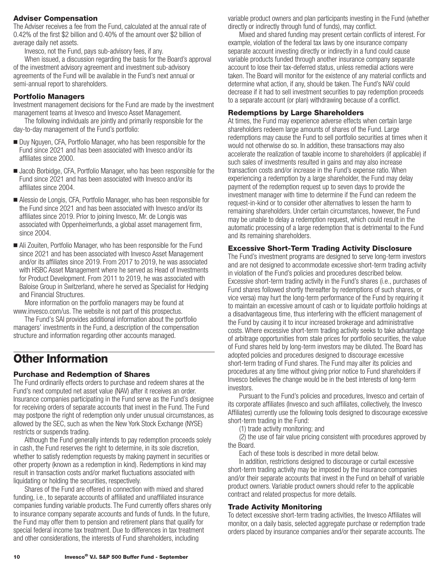#### <span id="page-12-0"></span>**Adviser Compensation**

The Adviser receives a fee from the Fund, calculated at the annual rate of 0.42% of the first \$2 billion and 0.40% of the amount over \$2 billion of average daily net assets.

Invesco, not the Fund, pays sub-advisory fees, if any.

When issued, a discussion regarding the basis for the Board's approval of the investment advisory agreement and investment sub-advisory agreements of the Fund will be available in the Fund's next annual or semi-annual report to shareholders.

#### **Portfolio Managers**

Investment management decisions for the Fund are made by the investment management teams at Invesco and Invesco Asset Management.

The following individuals are jointly and primarily responsible for the day-to-day management of the Fund's portfolio:

- Duy Nguyen, CFA, Portfolio Manager, who has been responsible for the Fund since 2021 and has been associated with Invesco and/or its affiliates since 2000.
- Jacob Borbidge, CFA, Portfolio Manager, who has been responsible for the Fund since 2021 and has been associated with Invesco and/or its affiliates since 2004.
- Alessio de Longis, CFA, Portfolio Manager, who has been responsible for the Fund since 2021 and has been associated with Invesco and/or its affiliates since 2019. Prior to joining Invesco, Mr. de Longis was associated with Oppenheimerfunds, a global asset management firm, since 2004.
- Ali Zouiten, Portfolio Manager, who has been responsible for the Fund since 2021 and has been associated with Invesco Asset Management and/or its affiliates since 2019. From 2017 to 2019, he was associated with HSBC Asset Management where he served as Head of Investments for Product Development. From 2011 to 2019, he was associated with Baloise Group in Switzerland, where he served as Specialist for Hedging and Financial Structures.

More information on the portfolio managers may be found at www.invesco.com/us. The website is not part of this prospectus.

The Fund's SAI provides additional information about the portfolio managers' investments in the Fund, a description of the compensation structure and information regarding other accounts managed.

## **Other Information**

#### **Purchase and Redemption of Shares**

The Fund ordinarily effects orders to purchase and redeem shares at the Fund's next computed net asset value (NAV) after it receives an order. Insurance companies participating in the Fund serve as the Fund's designee for receiving orders of separate accounts that invest in the Fund. The Fund may postpone the right of redemption only under unusual circumstances, as allowed by the SEC, such as when the New York Stock Exchange (NYSE) restricts or suspends trading.

Although the Fund generally intends to pay redemption proceeds solely in cash, the Fund reserves the right to determine, in its sole discretion, whether to satisfy redemption requests by making payment in securities or other property (known as a redemption in kind). Redemptions in kind may result in transaction costs and/or market fluctuations associated with liquidating or holding the securities, respectively.

Shares of the Fund are offered in connection with mixed and shared funding, i.e., to separate accounts of affiliated and unaffiliated insurance companies funding variable products. The Fund currently offers shares only to insurance company separate accounts and funds of funds. In the future, the Fund may offer them to pension and retirement plans that qualify for special federal income tax treatment. Due to differences in tax treatment and other considerations, the interests of Fund shareholders, including

variable product owners and plan participants investing in the Fund (whether directly or indirectly through fund of funds), may conflict.

Mixed and shared funding may present certain conflicts of interest. For example, violation of the federal tax laws by one insurance company separate account investing directly or indirectly in a fund could cause variable products funded through another insurance company separate account to lose their tax-deferred status, unless remedial actions were taken. The Board will monitor for the existence of any material conflicts and determine what action, if any, should be taken. The Fund's NAV could decrease if it had to sell investment securities to pay redemption proceeds to a separate account (or plan) withdrawing because of a conflict.

#### **Redemptions by Large Shareholders**

At times, the Fund may experience adverse effects when certain large shareholders redeem large amounts of shares of the Fund. Large redemptions may cause the Fund to sell portfolio securities at times when it would not otherwise do so. In addition, these transactions may also accelerate the realization of taxable income to shareholders (if applicable) if such sales of investments resulted in gains and may also increase transaction costs and/or increase in the Fund's expense ratio. When experiencing a redemption by a large shareholder, the Fund may delay payment of the redemption request up to seven days to provide the investment manager with time to determine if the Fund can redeem the request-in-kind or to consider other alternatives to lessen the harm to remaining shareholders. Under certain circumstances, however, the Fund may be unable to delay a redemption request, which could result in the automatic processing of a large redemption that is detrimental to the Fund and its remaining shareholders.

#### **Excessive Short-Term Trading Activity Disclosure**

The Fund's investment programs are designed to serve long-term investors and are not designed to accommodate excessive short-term trading activity in violation of the Fund's policies and procedures described below. Excessive short-term trading activity in the Fund's shares (i.e., purchases of Fund shares followed shortly thereafter by redemptions of such shares, or vice versa) may hurt the long-term performance of the Fund by requiring it to maintain an excessive amount of cash or to liquidate portfolio holdings at a disadvantageous time, thus interfering with the efficient management of the Fund by causing it to incur increased brokerage and administrative costs. Where excessive short-term trading activity seeks to take advantage of arbitrage opportunities from stale prices for portfolio securities, the value of Fund shares held by long-term investors may be diluted. The Board has adopted policies and procedures designed to discourage excessive short-term trading of Fund shares. The Fund may alter its policies and procedures at any time without giving prior notice to Fund shareholders if Invesco believes the change would be in the best interests of long-term investors.

Pursuant to the Fund's policies and procedures, Invesco and certain of its corporate affiliates (Invesco and such affiliates, collectively, the Invesco Affiliates) currently use the following tools designed to discourage excessive short-term trading in the Fund:

(1) trade activity monitoring; and

(2) the use of fair value pricing consistent with procedures approved by the Board.

Each of these tools is described in more detail below.

In addition, restrictions designed to discourage or curtail excessive short-term trading activity may be imposed by the insurance companies and/or their separate accounts that invest in the Fund on behalf of variable product owners. Variable product owners should refer to the applicable contract and related prospectus for more details.

#### **Trade Activity Monitoring**

To detect excessive short-term trading activities, the Invesco Affiliates will monitor, on a daily basis, selected aggregate purchase or redemption trade orders placed by insurance companies and/or their separate accounts. The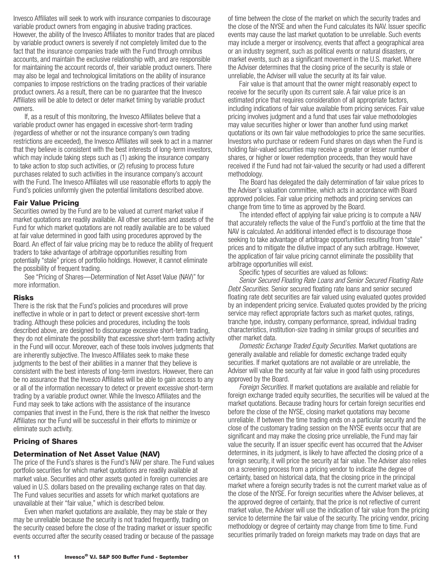<span id="page-13-0"></span>Invesco Affiliates will seek to work with insurance companies to discourage variable product owners from engaging in abusive trading practices. However, the ability of the Invesco Affiliates to monitor trades that are placed by variable product owners is severely if not completely limited due to the fact that the insurance companies trade with the Fund through omnibus accounts, and maintain the exclusive relationship with, and are responsible for maintaining the account records of, their variable product owners. There may also be legal and technological limitations on the ability of insurance companies to impose restrictions on the trading practices of their variable product owners. As a result, there can be no guarantee that the Invesco Affiliates will be able to detect or deter market timing by variable product owners.

If, as a result of this monitoring, the Invesco Affiliates believe that a variable product owner has engaged in excessive short-term trading (regardless of whether or not the insurance company's own trading restrictions are exceeded), the Invesco Affiliates will seek to act in a manner that they believe is consistent with the best interests of long-term investors, which may include taking steps such as (1) asking the insurance company to take action to stop such activities, or (2) refusing to process future purchases related to such activities in the insurance company's account with the Fund. The Invesco Affiliates will use reasonable efforts to apply the Fund's policies uniformly given the potential limitations described above.

#### **Fair Value Pricing**

Securities owned by the Fund are to be valued at current market value if market quotations are readily available. All other securities and assets of the Fund for which market quotations are not readily available are to be valued at fair value determined in good faith using procedures approved by the Board. An effect of fair value pricing may be to reduce the ability of frequent traders to take advantage of arbitrage opportunities resulting from potentially "stale" prices of portfolio holdings. However, it cannot eliminate the possibility of frequent trading.

See "Pricing of Shares—Determination of Net Asset Value (NAV)" for more information.

#### **Risks**

There is the risk that the Fund's policies and procedures will prove ineffective in whole or in part to detect or prevent excessive short-term trading. Although these policies and procedures, including the tools described above, are designed to discourage excessive short-term trading, they do not eliminate the possibility that excessive short-term trading activity in the Fund will occur. Moreover, each of these tools involves judgments that are inherently subjective. The Invesco Affiliates seek to make these judgments to the best of their abilities in a manner that they believe is consistent with the best interests of long-term investors. However, there can be no assurance that the Invesco Affiliates will be able to gain access to any or all of the information necessary to detect or prevent excessive short-term trading by a variable product owner. While the Invesco Affiliates and the Fund may seek to take actions with the assistance of the insurance companies that invest in the Fund, there is the risk that neither the Invesco Affiliates nor the Fund will be successful in their efforts to minimize or eliminate such activity.

#### **Pricing of Shares**

#### **Determination of Net Asset Value (NAV)**

The price of the Fund's shares is the Fund's NAV per share. The Fund values portfolio securities for which market quotations are readily available at market value. Securities and other assets quoted in foreign currencies are valued in U.S. dollars based on the prevailing exchange rates on that day. The Fund values securities and assets for which market quotations are unavailable at their "fair value," which is described below.

Even when market quotations are available, they may be stale or they may be unreliable because the security is not traded frequently, trading on the security ceased before the close of the trading market or issuer specific events occurred after the security ceased trading or because of the passage of time between the close of the market on which the security trades and the close of the NYSE and when the Fund calculates its NAV. Issuer specific events may cause the last market quotation to be unreliable. Such events may include a merger or insolvency, events that affect a geographical area or an industry segment, such as political events or natural disasters, or market events, such as a significant movement in the U.S. market. Where the Adviser determines that the closing price of the security is stale or unreliable, the Adviser will value the security at its fair value.

Fair value is that amount that the owner might reasonably expect to receive for the security upon its current sale. A fair value price is an estimated price that requires consideration of all appropriate factors, including indications of fair value available from pricing services. Fair value pricing involves judgment and a fund that uses fair value methodologies may value securities higher or lower than another fund using market quotations or its own fair value methodologies to price the same securities. Investors who purchase or redeem Fund shares on days when the Fund is holding fair-valued securities may receive a greater or lesser number of shares, or higher or lower redemption proceeds, than they would have received if the Fund had not fair-valued the security or had used a different methodology.

The Board has delegated the daily determination of fair value prices to the Adviser's valuation committee, which acts in accordance with Board approved policies. Fair value pricing methods and pricing services can change from time to time as approved by the Board.

The intended effect of applying fair value pricing is to compute a NAV that accurately reflects the value of the Fund's portfolio at the time that the NAV is calculated. An additional intended effect is to discourage those seeking to take advantage of arbitrage opportunities resulting from "stale" prices and to mitigate the dilutive impact of any such arbitrage. However, the application of fair value pricing cannot eliminate the possibility that arbitrage opportunities will exist.

Specific types of securities are valued as follows:

*Senior Secured Floating Rate Loans and Senior Secured Floating Rate Debt Securities.* Senior secured floating rate loans and senior secured floating rate debt securities are fair valued using evaluated quotes provided by an independent pricing service. Evaluated quotes provided by the pricing service may reflect appropriate factors such as market quotes, ratings, tranche type, industry, company performance, spread, individual trading characteristics, institution-size trading in similar groups of securities and other market data.

*Domestic Exchange Traded Equity Securities.* Market quotations are generally available and reliable for domestic exchange traded equity securities. If market quotations are not available or are unreliable, the Adviser will value the security at fair value in good faith using procedures approved by the Board.

*Foreign Securities.* If market quotations are available and reliable for foreign exchange traded equity securities, the securities will be valued at the market quotations. Because trading hours for certain foreign securities end before the close of the NYSE, closing market quotations may become unreliable. If between the time trading ends on a particular security and the close of the customary trading session on the NYSE events occur that are significant and may make the closing price unreliable, the Fund may fair value the security. If an issuer specific event has occurred that the Adviser determines, in its judgment, is likely to have affected the closing price of a foreign security, it will price the security at fair value. The Adviser also relies on a screening process from a pricing vendor to indicate the degree of certainty, based on historical data, that the closing price in the principal market where a foreign security trades is not the current market value as of the close of the NYSE. For foreign securities where the Adviser believes, at the approved degree of certainty, that the price is not reflective of current market value, the Adviser will use the indication of fair value from the pricing service to determine the fair value of the security. The pricing vendor, pricing methodology or degree of certainty may change from time to time. Fund securities primarily traded on foreign markets may trade on days that are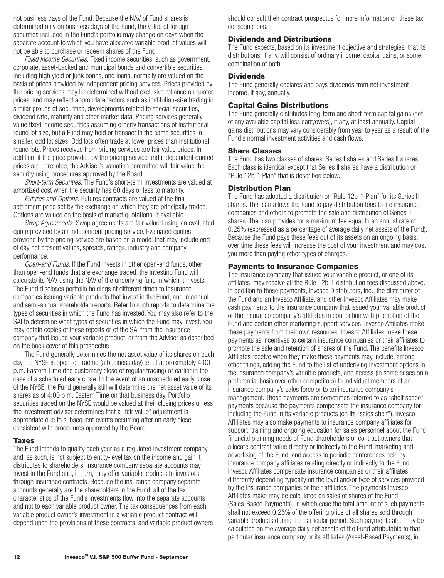<span id="page-14-0"></span>not business days of the Fund. Because the NAV of Fund shares is determined only on business days of the Fund, the value of foreign securities included in the Fund's portfolio may change on days when the separate account to which you have allocated variable product values will not be able to purchase or redeem shares of the Fund.

*Fixed Income Securities.* Fixed income securities, such as government, corporate, asset-backed and municipal bonds and convertible securities, including high yield or junk bonds, and loans, normally are valued on the basis of prices provided by independent pricing services. Prices provided by the pricing services may be determined without exclusive reliance on quoted prices, and may reflect appropriate factors such as institution-size trading in similar groups of securities, developments related to special securities, dividend rate, maturity and other market data. Pricing services generally value fixed income securities assuming orderly transactions of institutional round lot size, but a Fund may hold or transact in the same securities in smaller, odd lot sizes. Odd lots often trade at lower prices than institutional round lots. Prices received from pricing services are fair value prices. In addition, if the price provided by the pricing service and independent quoted prices are unreliable, the Adviser's valuation committee will fair value the security using procedures approved by the Board.

*Short-term Securities.* The Fund's short-term investments are valued at amortized cost when the security has 60 days or less to maturity.

*Futures and Options.* Futures contracts are valued at the final settlement price set by the exchange on which they are principally traded. Options are valued on the basis of market quotations, if available.

*Swap Agreements.* Swap agreements are fair valued using an evaluated quote provided by an independent pricing service. Evaluated quotes provided by the pricing service are based on a model that may include end of day net present values, spreads, ratings, industry and company performance.

*Open-end Funds.* If the Fund invests in other open-end funds, other than open-end funds that are exchange traded, the investing Fund will calculate its NAV using the NAV of the underlying fund in which it invests. The Fund discloses portfolio holdings at different times to insurance companies issuing variable products that invest in the Fund, and in annual and semi-annual shareholder reports. Refer to such reports to determine the types of securities in which the Fund has invested. You may also refer to the SAI to determine what types of securities in which the Fund may invest. You may obtain copies of these reports or of the SAI from the insurance company that issued your variable product, or from the Adviser as described on the back cover of this prospectus.

The Fund generally determines the net asset value of its shares on each day the NYSE is open for trading (a business day) as of approximately 4:00 p.m. Eastern Time (the customary close of regular trading) or earlier in the case of a scheduled early close. In the event of an unscheduled early close of the NYSE, the Fund generally still will determine the net asset value of its shares as of 4:00 p.m. Eastern Time on that business day. Portfolio securities traded on the NYSE would be valued at their closing prices unless the investment adviser determines that a "fair value" adjustment is appropriate due to subsequent events occurring after an early close consistent with procedures approved by the Board.

#### **Taxes**

The Fund intends to qualify each year as a regulated investment company and, as such, is not subject to entity-level tax on the income and gain it distributes to shareholders. Insurance company separate accounts may invest in the Fund and, in turn, may offer variable products to investors through insurance contracts. Because the insurance company separate accounts generally are the shareholders in the Fund, all of the tax characteristics of the Fund's investments flow into the separate accounts and not to each variable product owner. The tax consequences from each variable product owner's investment in a variable product contract will depend upon the provisions of these contracts, and variable product owners should consult their contract prospectus for more information on these tax consequences.

#### **Dividends and Distributions**

The Fund expects, based on its investment objective and strategies, that its distributions, if any, will consist of ordinary income, capital gains, or some combination of both.

#### **Dividends**

The Fund generally declares and pays dividends from net investment income, if any, annually.

#### **Capital Gains Distributions**

The Fund generally distributes long-term and short-term capital gains (net of any available capital loss carryovers), if any, at least annually. Capital gains distributions may vary considerably from year to year as a result of the Fund's normal investment activities and cash flows.

#### **Share Classes**

The Fund has two classes of shares, Series I shares and Series II shares. Each class is identical except that Series II shares have a distribution or "Rule 12b-1 Plan" that is described below.

#### **Distribution Plan**

The Fund has adopted a distribution or "Rule 12b-1 Plan" for its Series II shares. The plan allows the Fund to pay distribution fees to life insurance companies and others to promote the sale and distribution of Series II shares. The plan provides for a maximum fee equal to an annual rate of 0.25% (expressed as a percentage of average daily net assets of the Fund). Because the Fund pays these fees out of its assets on an ongoing basis, over time these fees will increase the cost of your investment and may cost you more than paying other types of charges.

#### **Payments to Insurance Companies**

The insurance company that issued your variable product, or one of its affiliates, may receive all the Rule 12b-1 distribution fees discussed above. In addition to those payments, Invesco Distributors, Inc., the distributor of the Fund and an Invesco Affiliate, and other Invesco Affiliates may make cash payments to the insurance company that issued your variable product or the insurance company's affiliates in connection with promotion of the Fund and certain other marketing support services. Invesco Affiliates make these payments from their own resources. Invesco Affiliates make these payments as incentives to certain insurance companies or their affiliates to promote the sale and retention of shares of the Fund. The benefits Invesco Affiliates receive when they make these payments may include, among other things, adding the Fund to the list of underlying investment options in the insurance company's variable products, and access (in some cases on a preferential basis over other competitors) to individual members of an insurance company's sales force or to an insurance company's management. These payments are sometimes referred to as "shelf space" payments because the payments compensate the insurance company for including the Fund in its variable products (on its "sales shelf"). Invesco Affiliates may also make payments to insurance company affiliates for support, training and ongoing education for sales personnel about the Fund, financial planning needs of Fund shareholders or contract owners that allocate contract value directly or indirectly to the Fund, marketing and advertising of the Fund, and access to periodic conferences held by insurance company affiliates relating directly or indirectly to the Fund. Invesco Affiliates compensate insurance companies or their affiliates differently depending typically on the level and/or type of services provided by the insurance companies or their affiliates. The payments Invesco Affiliates make may be calculated on sales of shares of the Fund (Sales-Based Payments), in which case the total amount of such payments shall not exceed 0.25% of the offering price of all shares sold through variable products during the particular period. Such payments also may be calculated on the average daily net assets of the Fund attributable to that particular insurance company or its affiliates (Asset-Based Payments), in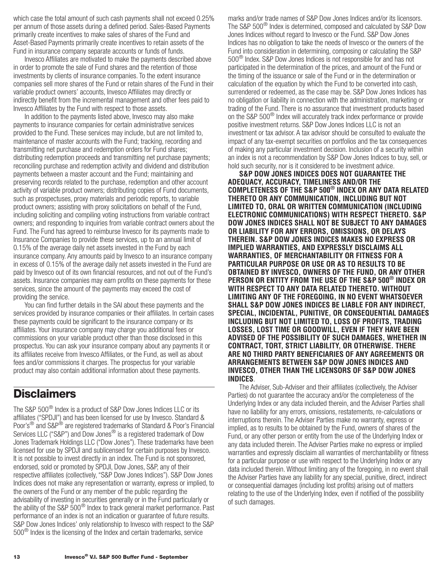<span id="page-15-0"></span>which case the total amount of such cash payments shall not exceed 0.25% per annum of those assets during a defined period. Sales-Based Payments primarily create incentives to make sales of shares of the Fund and Asset-Based Payments primarily create incentives to retain assets of the Fund in insurance company separate accounts or funds of funds.

Invesco Affiliates are motivated to make the payments described above in order to promote the sale of Fund shares and the retention of those investments by clients of insurance companies. To the extent insurance companies sell more shares of the Fund or retain shares of the Fund in their variable product owners' accounts, Invesco Affiliates may directly or indirectly benefit from the incremental management and other fees paid to Invesco Affiliates by the Fund with respect to those assets.

In addition to the payments listed above, Invesco may also make payments to insurance companies for certain administrative services provided to the Fund. These services may include, but are not limited to, maintenance of master accounts with the Fund; tracking, recording and transmitting net purchase and redemption orders for Fund shares; distributing redemption proceeds and transmitting net purchase payments; reconciling purchase and redemption activity and dividend and distribution payments between a master account and the Fund; maintaining and preserving records related to the purchase, redemption and other account activity of variable product owners; distributing copies of Fund documents, such as prospectuses, proxy materials and periodic reports, to variable product owners; assisting with proxy solicitations on behalf of the Fund, including soliciting and compiling voting instructions from variable contract owners; and responding to inquiries from variable contract owners about the Fund. The Fund has agreed to reimburse Invesco for its payments made to Insurance Companies to provide these services, up to an annual limit of 0.15% of the average daily net assets invested in the Fund by each insurance company. Any amounts paid by Invesco to an insurance company in excess of 0.15% of the average daily net assets invested in the Fund are paid by Invesco out of its own financial resources, and not out of the Fund's assets. Insurance companies may earn profits on these payments for these services, since the amount of the payments may exceed the cost of providing the service.

You can find further details in the SAI about these payments and the services provided by insurance companies or their affiliates. In certain cases these payments could be significant to the insurance company or its affiliates. Your insurance company may charge you additional fees or commissions on your variable product other than those disclosed in this prospectus. You can ask your insurance company about any payments it or its affiliates receive from Invesco Affiliates, or the Fund, as well as about fees and/or commissions it charges. The prospectus for your variable product may also contain additional information about these payments.

## **Disclaimers**

The S&P 500® Index is a product of S&P Dow Jones Indices LLC or its affiliates ("SPDJI") and has been licensed for use by Invesco. Standard & Poor's<sup>®</sup> and S&P<sup>®</sup> are registered trademarks of Standard & Poor's Financial Services LLC ("S&P") and Dow Jones<sup>®</sup> is a registered trademark of Dow Jones Trademark Holdings LLC ("Dow Jones"). These trademarks have been licensed for use by SPDJI and sublicensed for certain purposes by Invesco. It is not possible to invest directly in an index. The Fund is not sponsored, endorsed, sold or promoted by SPDJI, Dow Jones, S&P, any of their respective affiliates (collectively, "S&P Dow Jones Indices"). S&P Dow Jones Indices does not make any representation or warranty, express or implied, to the owners of the Fund or any member of the public regarding the advisability of investing in securities generally or in the Fund particularly or the ability of the S&P  $500^\circ$  Index to track general market performance. Past performance of an index is not an indication or guarantee of future results. S&P Dow Jones Indices' only relationship to Invesco with respect to the S&P 500® Index is the licensing of the Index and certain trademarks, service

marks and/or trade names of S&P Dow Jones Indices and/or its licensors. The S&P 500® Index is determined, composed and calculated by S&P Dow Jones Indices without regard to Invesco or the Fund. S&P Dow Jones Indices has no obligation to take the needs of Invesco or the owners of the Fund into consideration in determining, composing or calculating the S&P 500® Index. S&P Dow Jones Indices is not responsible for and has not participated in the determination of the prices, and amount of the Fund or the timing of the issuance or sale of the Fund or in the determination or calculation of the equation by which the Fund to be converted into cash, surrendered or redeemed, as the case may be. S&P Dow Jones Indices has no obligation or liability in connection with the administration, marketing or trading of the Fund. There is no assurance that investment products based on the S&P 500® Index will accurately track index performance or provide positive investment returns. S&P Dow Jones Indices LLC is not an investment or tax advisor. A tax advisor should be consulted to evaluate the impact of any tax-exempt securities on portfolios and the tax consequences of making any particular investment decision. Inclusion of a security within an index is not a recommendation by S&P Dow Jones Indices to buy, sell, or hold such security, nor is it considered to be investment advice.

**S&P DOW JONES INDICES DOES NOT GUARANTEE THE ADEQUACY, ACCURACY, TIMELINESS AND/OR THE COMPLETENESS OF THE S&P 500® INDEX OR ANY DATA RELATED THERETO OR ANY COMMUNICATION, INCLUDING BUT NOT LIMITED TO, ORAL OR WRITTEN COMMUNICATION (INCLUDING ELECTRONIC COMMUNICATIONS) WITH RESPECT THERETO. S&P DOW JONES INDICES SHALL NOT BE SUBJECT TO ANY DAMAGES OR LIABILITY FOR ANY ERRORS, OMISSIONS, OR DELAYS THEREIN. S&P DOW JONES INDICES MAKES NO EXPRESS OR IMPLIED WARRANTIES, AND EXPRESSLY DISCLAIMS ALL WARRANTIES, OF MERCHANTABILITY OR FITNESS FOR A PARTICULAR PURPOSE OR USE OR AS TO RESULTS TO BE OBTAINED BY INVESCO, OWNERS OF THE FUND, OR ANY OTHER PERSON OR ENTITY FROM THE USE OF THE S&P 500® INDEX OR WITH RESPECT TO ANY DATA RELATED THERETO. WITHOUT LIMITING ANY OF THE FOREGOING, IN NO EVENT WHATSOEVER SHALL S&P DOW JONES INDICES BE LIABLE FOR ANY INDIRECT, SPECIAL, INCIDENTAL, PUNITIVE, OR CONSEQUENTIAL DAMAGES INCLUDING BUT NOT LIMITED TO, LOSS OF PROFITS, TRADING LOSSES, LOST TIME OR GOODWILL, EVEN IF THEY HAVE BEEN ADVISED OF THE POSSIBILITY OF SUCH DAMAGES, WHETHER IN CONTRACT, TORT, STRICT LIABILITY, OR OTHERWISE. THERE ARE NO THIRD PARTY BENEFICIARIES OF ANY AGREEMENTS OR ARRANGEMENTS BETWEEN S&P DOW JONES INDICES AND INVESCO, OTHER THAN THE LICENSORS OF S&P DOW JONES INDICES**.

The Adviser, Sub-Adviser and their affiliates (collectively, the Adviser Parties) do not guarantee the accuracy and/or the completeness of the Underlying Index or any data included therein, and the Adviser Parties shall have no liability for any errors, omissions, restatements, re-calculations or interruptions therein. The Adviser Parties make no warranty, express or implied, as to results to be obtained by the Fund, owners of shares of the Fund, or any other person or entity from the use of the Underlying Index or any data included therein. The Adviser Parties make no express or implied warranties and expressly disclaim all warranties of merchantability or fitness for a particular purpose or use with respect to the Underlying Index or any data included therein. Without limiting any of the foregoing, in no event shall the Adviser Parties have any liability for any special, punitive, direct, indirect or consequential damages (including lost profits) arising out of matters relating to the use of the Underlying Index, even if notified of the possibility of such damages.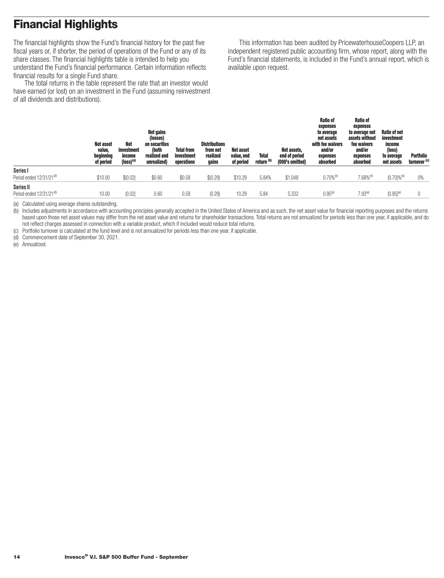# <span id="page-16-0"></span>**Financial Highlights**

The financial highlights show the Fund's financial history for the past five fiscal years or, if shorter, the period of operations of the Fund or any of its share classes. The financial highlights table is intended to help you understand the Fund's financial performance. Certain information reflects financial results for a single Fund share.

The total returns in the table represent the rate that an investor would have earned (or lost) on an investment in the Fund (assuming reinvestment of all dividends and distributions).

This information has been audited by PricewaterhouseCoopers LLP, an independent registered public accounting firm, whose report, along with the Fund's financial statements, is included in the Fund's annual report, which is available upon request.

|                                                   | <b>Net asset</b><br>value,<br>beginning<br>of period | Net<br>investment<br>income<br>$(logs)^{(a)}$ | <b>Net gains</b><br>(losses)<br>on securities<br>(both<br>realized and<br>unrealized) | <b>Total from</b><br>investment<br>operations | <b>Distributions</b><br>from net<br>realized<br>gains | <b>Net asset</b><br>value, end<br>of period | <b>Total</b><br>return <sup>(b)</sup> | Net assets,<br>end of period<br>(000's omitted) | <b>Ratio of</b><br>expenses<br>to average<br>net assets<br>with fee waivers<br>and/or<br>expenses<br>absorbed | <b>Ratio of</b><br>expenses<br>to average net<br>assets without<br>fee waivers<br>and/or<br>expenses<br>absorbed | Ratio of net<br>investment<br>income<br>(loss)<br>to average<br>net assets | Portfolio<br>turnover <sup>(c)</sup> |
|---------------------------------------------------|------------------------------------------------------|-----------------------------------------------|---------------------------------------------------------------------------------------|-----------------------------------------------|-------------------------------------------------------|---------------------------------------------|---------------------------------------|-------------------------------------------------|---------------------------------------------------------------------------------------------------------------|------------------------------------------------------------------------------------------------------------------|----------------------------------------------------------------------------|--------------------------------------|
| Series I<br>Period ended 12/31/21 <sup>(d)</sup>  | \$10.00                                              | \$(0.02)                                      | \$0.60                                                                                | \$0.58                                        | \$(0.29)                                              | \$10.29                                     | 5.84%                                 | \$1,048                                         | $0.70%$ <sup>(e)</sup>                                                                                        | $7.68\%^{(e)}$                                                                                                   | $(0.70) \%$ <sup>(e)</sup>                                                 | 0%                                   |
| Series II<br>Period ended 12/31/21 <sup>(d)</sup> | 10.0(                                                | (0.02)                                        | 0.60                                                                                  | 0.58                                          | (0.29                                                 | 10.29                                       | 5.84                                  | 5.332                                           | $0.95^{(e)}$                                                                                                  | $7.93^{(e)}$                                                                                                     | (0.95) <sup>(e</sup>                                                       |                                      |

(a) Calculated using average shares outstanding.

(b) Includes adjustments in accordance with accounting principles generally accepted in the United States of America and as such, the net asset value for financial reporting purposes and the returns based upon those net asset values may differ from the net asset value and returns for shareholder transactions. Total returns are not annualized for periods less than one year, if applicable, and do not reflect charges assessed in connection with a variable product, which if included would reduce total returns.

(c) Portfolio turnover is calculated at the fund level and is not annualized for periods less than one year, if applicable.

(d) Commencement date of September 30, 2021.

(e) Annualized.